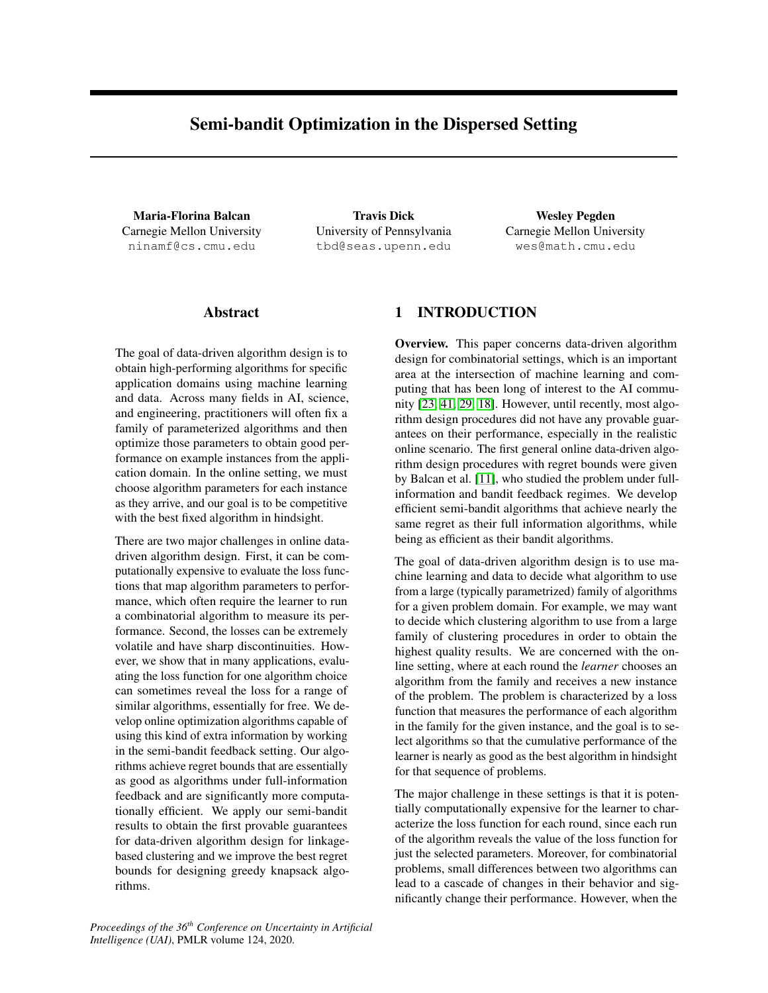# Semi-bandit Optimization in the Dispersed Setting

Maria-Florina Balcan Carnegie Mellon University ninamf@cs.cmu.edu

Travis Dick University of Pennsylvania tbd@seas.upenn.edu

Wesley Pegden Carnegie Mellon University wes@math.cmu.edu

## Abstract

The goal of data-driven algorithm design is to obtain high-performing algorithms for specific application domains using machine learning and data. Across many fields in AI, science, and engineering, practitioners will often fix a family of parameterized algorithms and then optimize those parameters to obtain good performance on example instances from the application domain. In the online setting, we must choose algorithm parameters for each instance as they arrive, and our goal is to be competitive with the best fixed algorithm in hindsight.

There are two major challenges in online datadriven algorithm design. First, it can be computationally expensive to evaluate the loss functions that map algorithm parameters to performance, which often require the learner to run a combinatorial algorithm to measure its performance. Second, the losses can be extremely volatile and have sharp discontinuities. However, we show that in many applications, evaluating the loss function for one algorithm choice can sometimes reveal the loss for a range of similar algorithms, essentially for free. We develop online optimization algorithms capable of using this kind of extra information by working in the semi-bandit feedback setting. Our algorithms achieve regret bounds that are essentially as good as algorithms under full-information feedback and are significantly more computationally efficient. We apply our semi-bandit results to obtain the first provable guarantees for data-driven algorithm design for linkagebased clustering and we improve the best regret bounds for designing greedy knapsack algorithms.

1 INTRODUCTION

Overview. This paper concerns data-driven algorithm design for combinatorial settings, which is an important area at the intersection of machine learning and computing that has been long of interest to the AI community [\[23,](#page-9-0) [41,](#page-9-1) [29,](#page-9-2) [18\]](#page-9-3). However, until recently, most algorithm design procedures did not have any provable guarantees on their performance, especially in the realistic online scenario. The first general online data-driven algorithm design procedures with regret bounds were given by Balcan et al. [\[11\]](#page-9-4), who studied the problem under fullinformation and bandit feedback regimes. We develop efficient semi-bandit algorithms that achieve nearly the same regret as their full information algorithms, while being as efficient as their bandit algorithms.

The goal of data-driven algorithm design is to use machine learning and data to decide what algorithm to use from a large (typically parametrized) family of algorithms for a given problem domain. For example, we may want to decide which clustering algorithm to use from a large family of clustering procedures in order to obtain the highest quality results. We are concerned with the online setting, where at each round the *learner* chooses an algorithm from the family and receives a new instance of the problem. The problem is characterized by a loss function that measures the performance of each algorithm in the family for the given instance, and the goal is to select algorithms so that the cumulative performance of the learner is nearly as good as the best algorithm in hindsight for that sequence of problems.

The major challenge in these settings is that it is potentially computationally expensive for the learner to characterize the loss function for each round, since each run of the algorithm reveals the value of the loss function for just the selected parameters. Moreover, for combinatorial problems, small differences between two algorithms can lead to a cascade of changes in their behavior and significantly change their performance. However, when the

*Proceedings of the 36th Conference on Uncertainty in Artificial Intelligence (UAI)*, PMLR volume 124, 2020.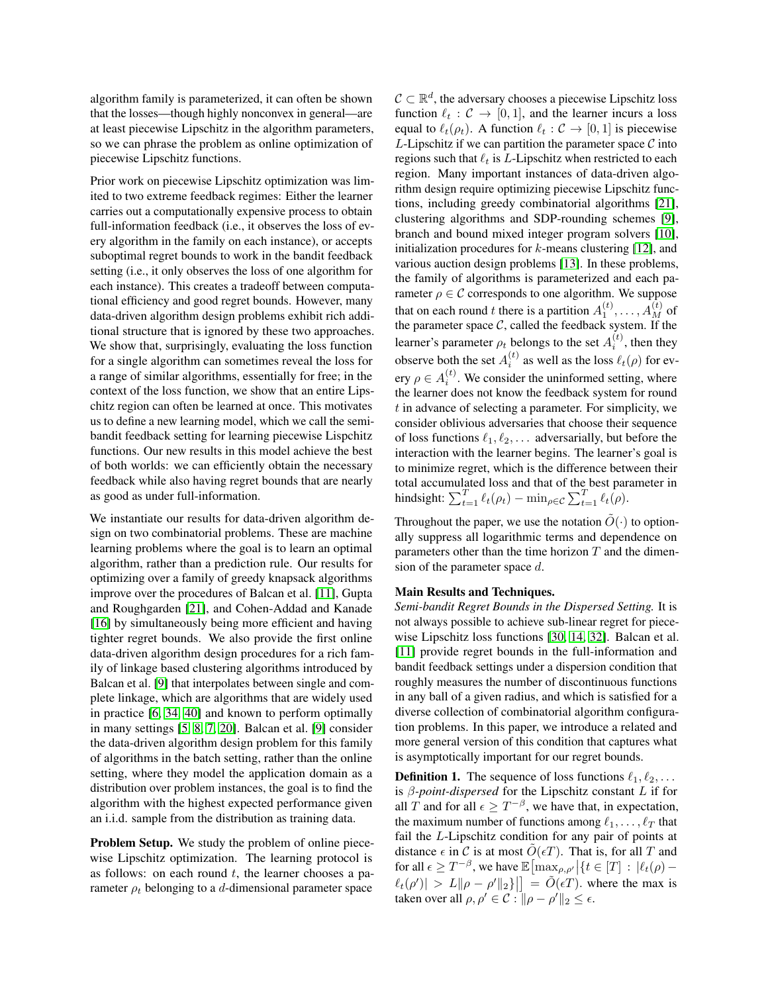algorithm family is parameterized, it can often be shown that the losses—though highly nonconvex in general—are at least piecewise Lipschitz in the algorithm parameters, so we can phrase the problem as online optimization of piecewise Lipschitz functions.

Prior work on piecewise Lipschitz optimization was limited to two extreme feedback regimes: Either the learner carries out a computationally expensive process to obtain full-information feedback (i.e., it observes the loss of every algorithm in the family on each instance), or accepts suboptimal regret bounds to work in the bandit feedback setting (i.e., it only observes the loss of one algorithm for each instance). This creates a tradeoff between computational efficiency and good regret bounds. However, many data-driven algorithm design problems exhibit rich additional structure that is ignored by these two approaches. We show that, surprisingly, evaluating the loss function for a single algorithm can sometimes reveal the loss for a range of similar algorithms, essentially for free; in the context of the loss function, we show that an entire Lipschitz region can often be learned at once. This motivates us to define a new learning model, which we call the semibandit feedback setting for learning piecewise Lispchitz functions. Our new results in this model achieve the best of both worlds: we can efficiently obtain the necessary feedback while also having regret bounds that are nearly as good as under full-information.

We instantiate our results for data-driven algorithm design on two combinatorial problems. These are machine learning problems where the goal is to learn an optimal algorithm, rather than a prediction rule. Our results for optimizing over a family of greedy knapsack algorithms improve over the procedures of Balcan et al. [\[11\]](#page-9-4), Gupta and Roughgarden [\[21\]](#page-9-5), and Cohen-Addad and Kanade [\[16\]](#page-9-6) by simultaneously being more efficient and having tighter regret bounds. We also provide the first online data-driven algorithm design procedures for a rich family of linkage based clustering algorithms introduced by Balcan et al. [\[9\]](#page-9-7) that interpolates between single and complete linkage, which are algorithms that are widely used in practice [\[6,](#page-9-8) [34,](#page-9-9) [40\]](#page-9-10) and known to perform optimally in many settings [\[5,](#page-9-11) [8,](#page-9-12) [7,](#page-9-13) [20\]](#page-9-14). Balcan et al. [\[9\]](#page-9-7) consider the data-driven algorithm design problem for this family of algorithms in the batch setting, rather than the online setting, where they model the application domain as a distribution over problem instances, the goal is to find the algorithm with the highest expected performance given an i.i.d. sample from the distribution as training data.

Problem Setup. We study the problem of online piecewise Lipschitz optimization. The learning protocol is as follows: on each round  $t$ , the learner chooses a parameter  $\rho_t$  belonging to a d-dimensional parameter space

 $C \subset \mathbb{R}^d$ , the adversary chooses a piecewise Lipschitz loss function  $\ell_t : C \to [0, 1]$ , and the learner incurs a loss equal to  $\ell_t(\rho_t)$ . A function  $\ell_t : C \to [0, 1]$  is piecewise  $L$ -Lipschitz if we can partition the parameter space  $C$  into regions such that  $\ell_t$  is *L*-Lipschitz when restricted to each region. Many important instances of data-driven algorithm design require optimizing piecewise Lipschitz functions, including greedy combinatorial algorithms [\[21\]](#page-9-5), clustering algorithms and SDP-rounding schemes [\[9\]](#page-9-7), branch and bound mixed integer program solvers [\[10\]](#page-9-15), initialization procedures for  $k$ -means clustering [\[12\]](#page-9-16), and various auction design problems [\[13\]](#page-9-17). In these problems, the family of algorithms is parameterized and each parameter  $\rho \in \mathcal{C}$  corresponds to one algorithm. We suppose that on each round t there is a partition  $A_1^{(t)}, \ldots, A_M^{(t)}$  of the parameter space  $C$ , called the feedback system. If the learner's parameter  $\rho_t$  belongs to the set  $A_i^{(t)}$ , then they observe both the set  $A_i^{(t)}$  as well as the loss  $\ell_t(\rho)$  for every  $\rho \in A_i^{(t)}$ . We consider the uninformed setting, where the learner does not know the feedback system for round  $t$  in advance of selecting a parameter. For simplicity, we consider oblivious adversaries that choose their sequence of loss functions  $\ell_1, \ell_2, \ldots$  adversarially, but before the interaction with the learner begins. The learner's goal is to minimize regret, which is the difference between their total accumulated loss and that of the best parameter in hindsight:  $\sum_{t=1}^{T} \ell_t(\rho_t) - \min_{\rho \in \mathcal{C}} \sum_{t=1}^{T} \ell_t(\rho)$ .

Throughout the paper, we use the notation  $\tilde{O}(\cdot)$  to optionally suppress all logarithmic terms and dependence on parameters other than the time horizon  $T$  and the dimension of the parameter space d.

#### Main Results and Techniques.

*Semi-bandit Regret Bounds in the Dispersed Setting.* It is not always possible to achieve sub-linear regret for piecewise Lipschitz loss functions [\[30,](#page-9-18) [14,](#page-9-19) [32\]](#page-9-20). Balcan et al. [\[11\]](#page-9-4) provide regret bounds in the full-information and bandit feedback settings under a dispersion condition that roughly measures the number of discontinuous functions in any ball of a given radius, and which is satisfied for a diverse collection of combinatorial algorithm configuration problems. In this paper, we introduce a related and more general version of this condition that captures what is asymptotically important for our regret bounds.

<span id="page-1-0"></span>**Definition 1.** The sequence of loss functions  $\ell_1, \ell_2, \ldots$ is β*-point-dispersed* for the Lipschitz constant L if for all T and for all  $\epsilon \geq T^{-\beta}$ , we have that, in expectation, the maximum number of functions among  $\ell_1, \ldots, \ell_T$  that fail the L-Lipschitz condition for any pair of points at distance  $\epsilon$  in C is at most  $\tilde{O}(\epsilon T)$ . That is, for all T and for all  $\epsilon \geq T^{-\beta}$ , we have  $\mathbb{E} \left[ \max_{\rho,\rho'} \left| \{ t \in [T] : |\ell_t(\rho) - \sigma| \leq \epsilon \} \right| \right]$  $\ell_t(\rho')| > L \|\rho - \rho' \|_2\}$  =  $\tilde{O}(\epsilon T)$ , where the max is taken over all  $\rho, \rho' \in \mathcal{C}$  :  $\|\rho - \rho'\|_2 \leq \epsilon$ .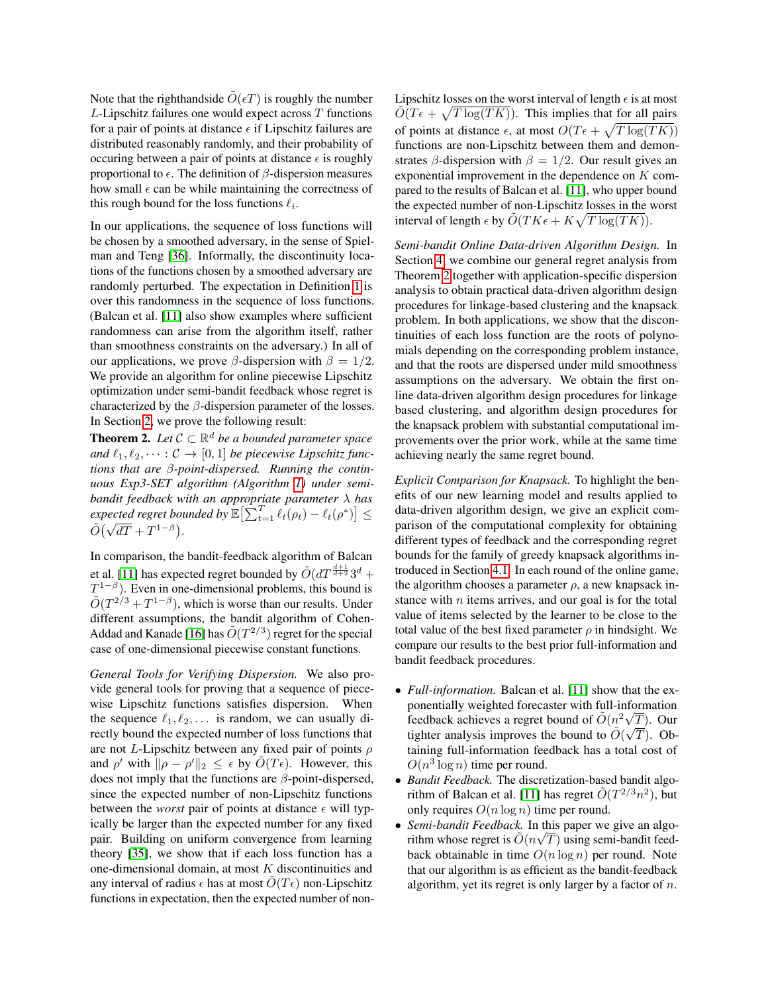Note that the righthandside  $\tilde{O}(\epsilon T)$  is roughly the number  $L$ -Lipschitz failures one would expect across  $T$  functions for a pair of points at distance  $\epsilon$  if Lipschitz failures are distributed reasonably randomly, and their probability of occuring between a pair of points at distance  $\epsilon$  is roughly proportional to  $\epsilon$ . The definition of  $\beta$ -dispersion measures how small  $\epsilon$  can be while maintaining the correctness of this rough bound for the loss functions  $\ell_i$ .

In our applications, the sequence of loss functions will be chosen by a smoothed adversary, in the sense of Spielman and Teng [\[36\]](#page-9-21). Informally, the discontinuity locations of the functions chosen by a smoothed adversary are randomly perturbed. The expectation in Definition [1](#page-1-0) is over this randomness in the sequence of loss functions. (Balcan et al. [\[11\]](#page-9-4) also show examples where sufficient randomness can arise from the algorithm itself, rather than smoothness constraints on the adversary.) In all of our applications, we prove  $\beta$ -dispersion with  $\beta = 1/2$ . We provide an algorithm for online piecewise Lipschitz optimization under semi-bandit feedback whose regret is characterized by the  $\beta$ -dispersion parameter of the losses. In Section [2,](#page-3-0) we prove the following result:

<span id="page-2-0"></span>**Theorem 2.** Let  $C \subset \mathbb{R}^d$  be a bounded parameter space *and*  $\ell_1, \ell_2, \cdots : C \rightarrow [0, 1]$  *be piecewise Lipschitz functions that are* β*-point-dispersed. Running the continuous Exp3-SET algorithm (Algorithm [1\)](#page-4-0) under semibandit feedback with an appropriate parameter* λ *has*  $\epsilon$ *xpected regret bounded by*  $\mathbb{E}\left[\sum_{t=1}^{T} \ell_t(\rho_t) - \ell_t(\rho^*)\right] \leq$  $\tilde{O}(\sqrt{dT} + T^{1-\beta}).$ 

In comparison, the bandit-feedback algorithm of Balcan et al. [\[11\]](#page-9-4) has expected regret bounded by  $\tilde{O}(dT^{\frac{d+1}{d+2}}3^d +$  $T^{1-\beta}$ ). Even in one-dimensional problems, this bound is  $\tilde{O}(T^{2/3} + T^{1-\beta})$ , which is worse than our results. Under different assumptions, the bandit algorithm of Cohen-Addad and Kanade [\[16\]](#page-9-6) has  $\tilde{O}(T^{2/3})$  regret for the special case of one-dimensional piecewise constant functions.

*General Tools for Verifying Dispersion.* We also provide general tools for proving that a sequence of piecewise Lipschitz functions satisfies dispersion. When the sequence  $\ell_1, \ell_2, \ldots$  is random, we can usually directly bound the expected number of loss functions that are not L-Lipschitz between any fixed pair of points  $\rho$ and  $\rho'$  with  $\|\rho - \rho'\|_2 \leq \epsilon$  by  $\tilde{O}(T\epsilon)$ . However, this does not imply that the functions are  $\beta$ -point-dispersed, since the expected number of non-Lipschitz functions between the *worst* pair of points at distance  $\epsilon$  will typically be larger than the expected number for any fixed pair. Building on uniform convergence from learning theory [\[35\]](#page-9-22), we show that if each loss function has a one-dimensional domain, at most  $K$  discontinuities and any interval of radius  $\epsilon$  has at most  $O(T_{\epsilon})$  non-Lipschitz functions in expectation, then the expected number of nonLipschitz losses on the worst interval of length  $\epsilon$  is at most  $\tilde{O}(T\epsilon + \sqrt{T \log(TK)})$ . This implies that for all pairs of points at distance  $\epsilon$ , at most  $O(T\epsilon + \sqrt{T \log(TK)})$ functions are non-Lipschitz between them and demonstrates  $\beta$ -dispersion with  $\beta = 1/2$ . Our result gives an exponential improvement in the dependence on K compared to the results of Balcan et al. [\[11\]](#page-9-4), who upper bound the expected number of non-Lipschitz losses in the worst interval of length  $\epsilon$  by  $\tilde{O}(TK\epsilon + K\sqrt{T \log(TK)})$ .

*Semi-bandit Online Data-driven Algorithm Design.* In Section [4,](#page-5-0) we combine our general regret analysis from Theorem [2](#page-2-0) together with application-specific dispersion analysis to obtain practical data-driven algorithm design procedures for linkage-based clustering and the knapsack problem. In both applications, we show that the discontinuities of each loss function are the roots of polynomials depending on the corresponding problem instance, and that the roots are dispersed under mild smoothness assumptions on the adversary. We obtain the first online data-driven algorithm design procedures for linkage based clustering, and algorithm design procedures for the knapsack problem with substantial computational improvements over the prior work, while at the same time achieving nearly the same regret bound.

*Explicit Comparison for Knapsack.* To highlight the benefits of our new learning model and results applied to data-driven algorithm design, we give an explicit comparison of the computational complexity for obtaining different types of feedback and the corresponding regret bounds for the family of greedy knapsack algorithms introduced in Section [4.1.](#page-6-0) In each round of the online game, the algorithm chooses a parameter  $\rho$ , a new knapsack instance with  $n$  items arrives, and our goal is for the total value of items selected by the learner to be close to the total value of the best fixed parameter  $\rho$  in hindsight. We compare our results to the best prior full-information and bandit feedback procedures.

- *Full-information.* Balcan et al. [\[11\]](#page-9-4) show that the exponentially weighted forecaster with full-information feedback achieves a regret bound of  $\tilde{O}(n^2 \sqrt{T})$ . Our tighter analysis improves the bound to  $\tilde{O}(\sqrt{T})$ . Obtaining full-information feedback has a total cost of  $O(n^3 \log n)$  time per round.
- *Bandit Feedback.* The discretization-based bandit algo-rithm of Balcan et al. [\[11\]](#page-9-4) has regret  $\tilde{O}(T^{2/3}n^2)$ , but only requires  $O(n \log n)$  time per round.
- *Semi-bandit Feedback*. In this paper we give an algorithm whose regret is  $\tilde{O}(n\sqrt{T})$  using semi-bandit feedback obtainable in time  $O(n \log n)$  per round. Note that our algorithm is as efficient as the bandit-feedback algorithm, yet its regret is only larger by a factor of  $n$ .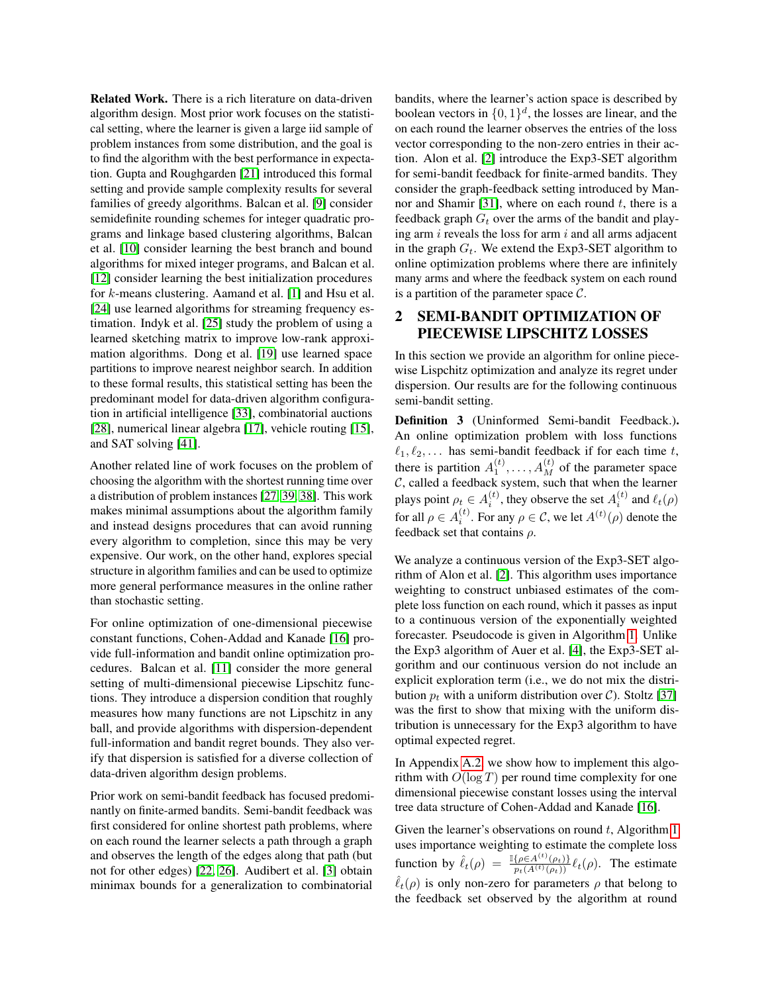Related Work. There is a rich literature on data-driven algorithm design. Most prior work focuses on the statistical setting, where the learner is given a large iid sample of problem instances from some distribution, and the goal is to find the algorithm with the best performance in expectation. Gupta and Roughgarden [\[21\]](#page-9-5) introduced this formal setting and provide sample complexity results for several families of greedy algorithms. Balcan et al. [\[9\]](#page-9-7) consider semidefinite rounding schemes for integer quadratic programs and linkage based clustering algorithms, Balcan et al. [\[10\]](#page-9-15) consider learning the best branch and bound algorithms for mixed integer programs, and Balcan et al. [\[12\]](#page-9-16) consider learning the best initialization procedures for k-means clustering. Aamand et al. [\[1\]](#page-9-23) and Hsu et al. [\[24\]](#page-9-24) use learned algorithms for streaming frequency estimation. Indyk et al. [\[25\]](#page-9-25) study the problem of using a learned sketching matrix to improve low-rank approximation algorithms. Dong et al. [\[19\]](#page-9-26) use learned space partitions to improve nearest neighbor search. In addition to these formal results, this statistical setting has been the predominant model for data-driven algorithm configuration in artificial intelligence [\[33\]](#page-9-27), combinatorial auctions [\[28\]](#page-9-28), numerical linear algebra [\[17\]](#page-9-29), vehicle routing [\[15\]](#page-9-30), and SAT solving [\[41\]](#page-9-1).

Another related line of work focuses on the problem of choosing the algorithm with the shortest running time over a distribution of problem instances [\[27,](#page-9-31) [39,](#page-9-32) [38\]](#page-9-33). This work makes minimal assumptions about the algorithm family and instead designs procedures that can avoid running every algorithm to completion, since this may be very expensive. Our work, on the other hand, explores special structure in algorithm families and can be used to optimize more general performance measures in the online rather than stochastic setting.

For online optimization of one-dimensional piecewise constant functions, Cohen-Addad and Kanade [\[16\]](#page-9-6) provide full-information and bandit online optimization procedures. Balcan et al. [\[11\]](#page-9-4) consider the more general setting of multi-dimensional piecewise Lipschitz functions. They introduce a dispersion condition that roughly measures how many functions are not Lipschitz in any ball, and provide algorithms with dispersion-dependent full-information and bandit regret bounds. They also verify that dispersion is satisfied for a diverse collection of data-driven algorithm design problems.

Prior work on semi-bandit feedback has focused predominantly on finite-armed bandits. Semi-bandit feedback was first considered for online shortest path problems, where on each round the learner selects a path through a graph and observes the length of the edges along that path (but not for other edges) [\[22,](#page-9-34) [26\]](#page-9-35). Audibert et al. [\[3\]](#page-9-36) obtain minimax bounds for a generalization to combinatorial

bandits, where the learner's action space is described by boolean vectors in  $\{0,1\}^d$ , the losses are linear, and the on each round the learner observes the entries of the loss vector corresponding to the non-zero entries in their action. Alon et al. [\[2\]](#page-9-37) introduce the Exp3-SET algorithm for semi-bandit feedback for finite-armed bandits. They consider the graph-feedback setting introduced by Man-nor and Shamir [\[31\]](#page-9-38), where on each round  $t$ , there is a feedback graph  $G_t$  over the arms of the bandit and playing arm  $i$  reveals the loss for arm  $i$  and all arms adjacent in the graph  $G_t$ . We extend the Exp3-SET algorithm to online optimization problems where there are infinitely many arms and where the feedback system on each round is a partition of the parameter space  $\mathcal{C}$ .

## <span id="page-3-0"></span>2 SEMI-BANDIT OPTIMIZATION OF PIECEWISE LIPSCHITZ LOSSES

In this section we provide an algorithm for online piecewise Lispchitz optimization and analyze its regret under dispersion. Our results are for the following continuous semi-bandit setting.

Definition 3 (Uninformed Semi-bandit Feedback.). An online optimization problem with loss functions  $\ell_1, \ell_2, \ldots$  has semi-bandit feedback if for each time t, there is partition  $A_1^{(t)}, \ldots, A_M^{(t)}$  of the parameter space  $C$ , called a feedback system, such that when the learner plays point  $\rho_t \in A_i^{(t)}$ , they observe the set  $A_i^{(t)}$  and  $\ell_t(\rho)$ for all  $\rho \in A_i^{(t)}$ . For any  $\rho \in \mathcal{C}$ , we let  $A^{(t)}(\rho)$  denote the feedback set that contains  $\rho$ .

We analyze a continuous version of the Exp3-SET algorithm of Alon et al. [\[2\]](#page-9-37). This algorithm uses importance weighting to construct unbiased estimates of the complete loss function on each round, which it passes as input to a continuous version of the exponentially weighted forecaster. Pseudocode is given in Algorithm [1.](#page-4-0) Unlike the Exp3 algorithm of Auer et al. [\[4\]](#page-9-39), the Exp3-SET algorithm and our continuous version do not include an explicit exploration term (i.e., we do not mix the distribution  $p_t$  with a uniform distribution over C). Stoltz [\[37\]](#page-9-40) was the first to show that mixing with the uniform distribution is unnecessary for the Exp3 algorithm to have optimal expected regret.

In Appendix [A.2,](#page-13-0) we show how to implement this algorithm with  $O(\log T)$  per round time complexity for one dimensional piecewise constant losses using the interval tree data structure of Cohen-Addad and Kanade [\[16\]](#page-9-6).

Given the learner's observations on round  $t$ , Algorithm [1](#page-4-0) uses importance weighting to estimate the complete loss function by  $\hat{\ell}_t(\rho) = \frac{\mathbb{I}\{\rho \in A^{(t)}(\rho_t)\}}{p_t(A^{(t)}(\rho_t))} \ell_t(\rho)$ . The estimate  $\ell_t(\rho)$  is only non-zero for parameters  $\rho$  that belong to the feedback set observed by the algorithm at round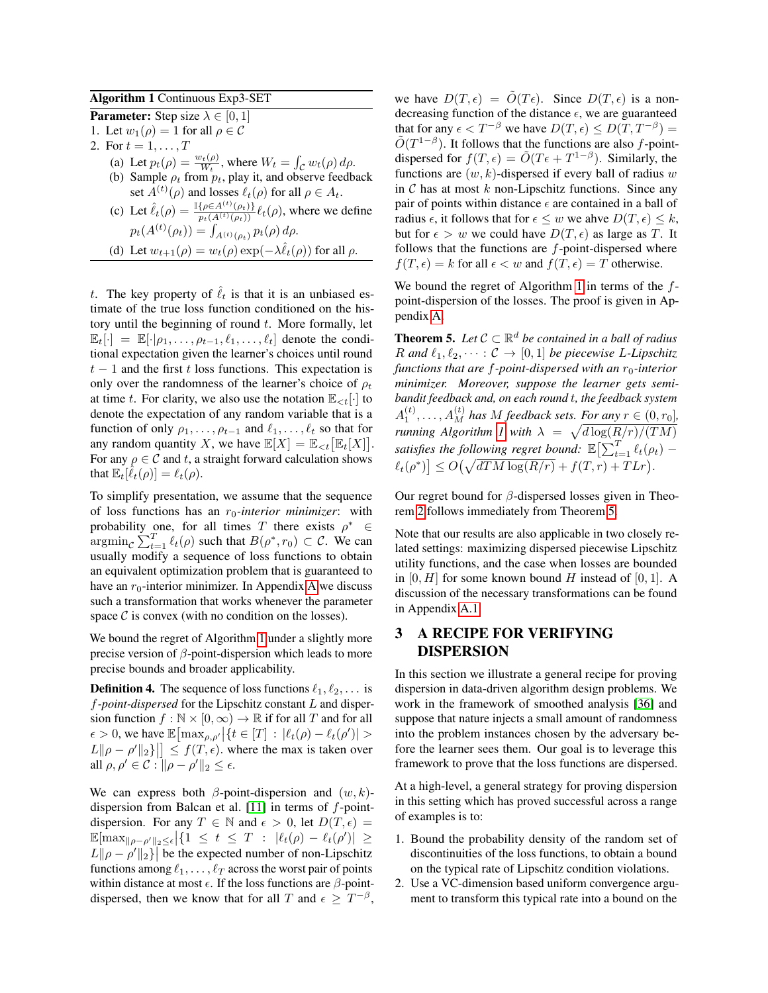### Algorithm 1 Continuous Exp3-SET

**Parameter:** Step size  $\lambda \in [0, 1]$ 

1. Let  $w_1(\rho) = 1$  for all  $\rho \in \mathcal{C}$ 

- 2. For  $t = 1, ..., T$ 
	- (a) Let  $p_t(\rho) = \frac{w_t(\rho)}{W_t}$ , where  $W_t = \int_C w_t(\rho) d\rho$ .
	- (b) Sample  $\rho_t$  from  $p_t$ , play it, and observe feedback set  $A^{(t)}(\rho)$  and losses  $\ell_t(\rho)$  for all  $\rho \in A_t$ .
	- (c) Let  $\hat{\ell}_t(\rho) = \frac{\mathbb{I}\{\rho \in A^{(t)}(\rho_t)\}}{\mathbb{P}(A^{(t)}(\rho_t))} \ell_t(\rho)$ , where we define  $p_t(A^{(t)}(\rho_t)) = \int_{A^{(t)}(\rho_t)} p_t(\rho) d\rho.$
	- (d) Let  $w_{t+1}(\rho) = w_t(\rho) \exp(-\lambda \hat{\ell}_t(\rho))$  for all  $\rho$ .

<span id="page-4-0"></span>t. The key property of  $\ell_t$  is that it is an unbiased estimate of the true loss function conditioned on the history until the beginning of round  $t$ . More formally, let  $\mathbb{E}_{t}[\cdot] = \mathbb{E}[\cdot|\rho_1,\ldots,\rho_{t-1},\ell_1,\ldots,\ell_t]$  denote the conditional expectation given the learner's choices until round  $t-1$  and the first t loss functions. This expectation is only over the randomness of the learner's choice of  $\rho_t$ at time t. For clarity, we also use the notation  $\mathbb{E}_{\leq t}[\cdot]$  to denote the expectation of any random variable that is a function of only  $\rho_1, \ldots, \rho_{t-1}$  and  $\ell_1, \ldots, \ell_t$  so that for any random quantity X, we have  $\mathbb{E}[X] = \mathbb{E}_{\lt t} [\mathbb{E}_t[X]].$ For any  $\rho \in \mathcal{C}$  and t, a straight forward calculation shows that  $\mathbb{E}_t[\hat{\ell}_t(\rho)] = \ell_t(\rho)$ .

To simplify presentation, we assume that the sequence of loss functions has an  $r_0$ -interior minimizer: with probability one, for all times T there exists  $\rho^* \in$  $\argmin_{\mathcal{C}} \sum_{t=1}^T \ell_t(\rho)$  such that  $B(\rho^*, r_0) \subset \mathcal{C}$ . We can usually modify a sequence of loss functions to obtain an equivalent optimization problem that is guaranteed to have an  $r_0$ -interior minimizer. In [A](#page-10-0)ppendix A we discuss such a transformation that works whenever the parameter space  $\mathcal C$  is convex (with no condition on the losses).

We bound the regret of Algorithm [1](#page-4-0) under a slightly more precise version of  $\beta$ -point-dispersion which leads to more precise bounds and broader applicability.

**Definition 4.** The sequence of loss functions  $\ell_1, \ell_2, \ldots$  is f*-point-dispersed* for the Lipschitz constant L and dispersion function  $f : \mathbb{N} \times [0, \infty) \to \mathbb{R}$  if for all T and for all  $\epsilon > 0$ , we have  $\mathbb{E} \left[ \max_{\rho, \rho'} |\{t \in [T] : |\ell_t(\rho) - \ell_t(\rho')| > \epsilon \}\right]$  $L\|\rho - \rho'\|_2\}$   $\leq f(T, \epsilon)$ , where the max is taken over all  $\rho, \rho' \in \mathcal{C}$  :  $\|\rho - \rho'\|_2 \leq \epsilon$ .

We can express both  $\beta$ -point-dispersion and  $(w, k)$ -dispersion from Balcan et al. [\[11\]](#page-9-4) in terms of  $f$ -pointdispersion. For any  $T \in \mathbb{N}$  and  $\epsilon > 0$ , let  $D(T, \epsilon) =$  $\mathbb{E}[\max_{\|\rho-\rho'\|_2\leq\epsilon}|\{1 \leq t \leq T : |\ell_t(\rho)-\ell_t(\rho')|\geq$  $L \|\rho - \rho' \|_2$  be the expected number of non-Lipschitz functions among  $\ell_1, \ldots, \ell_T$  across the worst pair of points within distance at most  $\epsilon$ . If the loss functions are  $\beta$ -pointdispersed, then we know that for all T and  $\epsilon \geq T^{-\beta}$ ,

we have  $D(T, \epsilon) = \tilde{O}(T \epsilon)$ . Since  $D(T, \epsilon)$  is a nondecreasing function of the distance  $\epsilon$ , we are guaranteed that for any  $\epsilon < T^{-\beta}$  we have  $D(T, \epsilon) \leq D(T, T^{-\beta}) =$  $\tilde{O}(T^{1-\beta})$ . It follows that the functions are also f-pointdispersed for  $f(T, \epsilon) = \tilde{O}(T\epsilon + T^{1-\beta})$ . Similarly, the functions are  $(w, k)$ -dispersed if every ball of radius w in  $C$  has at most  $k$  non-Lipschitz functions. Since any pair of points within distance  $\epsilon$  are contained in a ball of radius  $\epsilon$ , it follows that for  $\epsilon \leq w$  we ahve  $D(T, \epsilon) \leq k$ , but for  $\epsilon > w$  we could have  $D(T, \epsilon)$  as large as T. It follows that the functions are  $f$ -point-dispersed where  $f(T, \epsilon) = k$  for all  $\epsilon < w$  and  $f(T, \epsilon) = T$  otherwise.

We bound the regret of Algorithm [1](#page-4-0) in terms of the  $f$ point-dispersion of the losses. The proof is given in Appendix [A.](#page-10-0)

<span id="page-4-1"></span>**Theorem 5.** Let  $C \subset \mathbb{R}^d$  be contained in a ball of radius R and  $\ell_1, \ell_2, \cdots : C \rightarrow [0, 1]$  be piecewise L-Lipschitz *functions that are f-point-dispersed with an*  $r_0$ -interior *minimizer. Moreover, suppose the learner gets semibandit feedback and, on each round* t*, the feedback system*  $A_1^{(t)}, \ldots, A_M^{(t)}$  has M feedback sets. For any  $r \in (0, r_0]$ , *running Algorithm [1](#page-4-0) with*  $\lambda = \sqrt{d \log(R/r)/(TM)}$ satisfies the following regret bound:  $\mathbb{E}\bigl[\sum_{t=1}^T \ell_t(\rho_t) - \bigr]$  $\ell_t(\rho^*)$   $\leq O\left(\sqrt{dTM\log(R/r)} + f(T,r) + T Lr\right).$ 

Our regret bound for  $\beta$ -dispersed losses given in Theorem [2](#page-2-0) follows immediately from Theorem [5.](#page-4-1)

Note that our results are also applicable in two closely related settings: maximizing dispersed piecewise Lipschitz utility functions, and the case when losses are bounded in  $[0, H]$  for some known bound H instead of  $[0, 1]$ . A discussion of the necessary transformations can be found in Appendix [A.1.](#page-12-0)

## <span id="page-4-2"></span>3 A RECIPE FOR VERIFYING DISPERSION

In this section we illustrate a general recipe for proving dispersion in data-driven algorithm design problems. We work in the framework of smoothed analysis [\[36\]](#page-9-21) and suppose that nature injects a small amount of randomness into the problem instances chosen by the adversary before the learner sees them. Our goal is to leverage this framework to prove that the loss functions are dispersed.

At a high-level, a general strategy for proving dispersion in this setting which has proved successful across a range of examples is to:

- 1. Bound the probability density of the random set of discontinuities of the loss functions, to obtain a bound on the typical rate of Lipschitz condition violations.
- 2. Use a VC-dimension based uniform convergence argument to transform this typical rate into a bound on the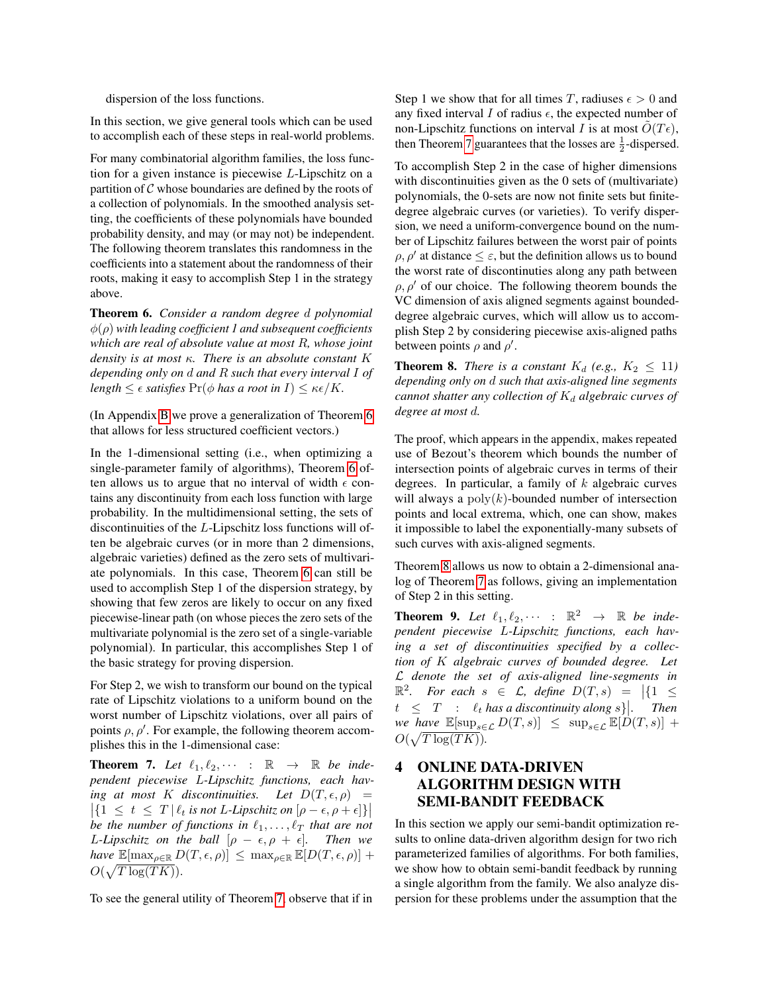dispersion of the loss functions.

In this section, we give general tools which can be used to accomplish each of these steps in real-world problems.

For many combinatorial algorithm families, the loss function for a given instance is piecewise L-Lipschitz on a partition of  $\mathcal C$  whose boundaries are defined by the roots of a collection of polynomials. In the smoothed analysis setting, the coefficients of these polynomials have bounded probability density, and may (or may not) be independent. The following theorem translates this randomness in the coefficients into a statement about the randomness of their roots, making it easy to accomplish Step 1 in the strategy above.

<span id="page-5-1"></span>Theorem 6. *Consider a random degree* d *polynomial* φ(ρ) *with leading coefficient 1 and subsequent coefficients which are real of absolute value at most* R*, whose joint density is at most* κ*. There is an absolute constant* K *depending only on* d *and* R *such that every interval* I *of length*  $\leq \epsilon$  *satisfies*  $\Pr(\phi \text{ has a root in } I) \leq \kappa \epsilon / K$ .

(In Appendix [B](#page-13-1) we prove a generalization of Theorem [6](#page-5-1) that allows for less structured coefficient vectors.)

In the 1-dimensional setting (i.e., when optimizing a single-parameter family of algorithms), Theorem [6](#page-5-1) often allows us to argue that no interval of width  $\epsilon$  contains any discontinuity from each loss function with large probability. In the multidimensional setting, the sets of discontinuities of the L-Lipschitz loss functions will often be algebraic curves (or in more than 2 dimensions, algebraic varieties) defined as the zero sets of multivariate polynomials. In this case, Theorem [6](#page-5-1) can still be used to accomplish Step 1 of the dispersion strategy, by showing that few zeros are likely to occur on any fixed piecewise-linear path (on whose pieces the zero sets of the multivariate polynomial is the zero set of a single-variable polynomial). In particular, this accomplishes Step 1 of the basic strategy for proving dispersion.

For Step 2, we wish to transform our bound on the typical rate of Lipschitz violations to a uniform bound on the worst number of Lipschitz violations, over all pairs of points  $\rho$ ,  $\rho'$ . For example, the following theorem accomplishes this in the 1-dimensional case:

<span id="page-5-2"></span>**Theorem 7.** Let  $\ell_1, \ell_2, \cdots$  :  $\mathbb{R} \rightarrow \mathbb{R}$  be inde*pendent piecewise* L*-Lipschitz functions, each having at most* K *discontinuities.* Let  $D(T, \epsilon, \rho)$  =  $\left| \{ 1 \le t \le T \mid \ell_t \text{ is not } L\text{-Lipschitz on } [\rho - \epsilon, \rho + \epsilon] \} \right|$ *be the number of functions in*  $\ell_1, \ldots, \ell_T$  *that are not L*-*Lipschitz on the ball*  $[\rho - \epsilon, \rho + \epsilon]$ *. Then we have*  $\mathbb{E}[\max_{\rho \in \mathbb{R}} D(T, \epsilon, \rho)] \leq \max_{\rho \in \mathbb{R}} \mathbb{E}[D(T, \epsilon, \rho)] +$  $O(\sqrt{T \log(TK)})$ .

To see the general utility of Theorem [7,](#page-5-2) observe that if in

Step 1 we show that for all times T, radiuses  $\epsilon > 0$  and any fixed interval I of radius  $\epsilon$ , the expected number of non-Lipschitz functions on interval I is at most  $O(T\epsilon)$ , then Theorem [7](#page-5-2) guarantees that the losses are  $\frac{1}{2}$ -dispersed.

To accomplish Step 2 in the case of higher dimensions with discontinuities given as the 0 sets of (multivariate) polynomials, the 0-sets are now not finite sets but finitedegree algebraic curves (or varieties). To verify dispersion, we need a uniform-convergence bound on the number of Lipschitz failures between the worst pair of points  $\rho$ ,  $\rho'$  at distance  $\leq \varepsilon$ , but the definition allows us to bound the worst rate of discontinuties along any path between  $\rho$ ,  $\rho'$  of our choice. The following theorem bounds the VC dimension of axis aligned segments against boundeddegree algebraic curves, which will allow us to accomplish Step 2 by considering piecewise axis-aligned paths between points  $\rho$  and  $\rho'$ .

<span id="page-5-3"></span>**Theorem 8.** *There is a constant*  $K_d$  (e.g.,  $K_2 \leq 11$ ) *depending only on* d *such that axis-aligned line segments cannot shatter any collection of*  $K_d$  *algebraic curves of degree at most* d*.*

The proof, which appears in the appendix, makes repeated use of Bezout's theorem which bounds the number of intersection points of algebraic curves in terms of their degrees. In particular, a family of  $k$  algebraic curves will always a  $poly(k)$ -bounded number of intersection points and local extrema, which, one can show, makes it impossible to label the exponentially-many subsets of such curves with axis-aligned segments.

Theorem [8](#page-5-3) allows us now to obtain a 2-dimensional analog of Theorem [7](#page-5-2) as follows, giving an implementation of Step 2 in this setting.

<span id="page-5-4"></span>**Theorem 9.** Let  $\ell_1, \ell_2, \cdots$  :  $\mathbb{R}^2 \rightarrow \mathbb{R}$  be inde*pendent piecewise* L*-Lipschitz functions, each having a set of discontinuities specified by a collection of* K *algebraic curves of bounded degree. Let* L *denote the set of axis-aligned line-segments in*  $\mathbb{R}^2$ . For each  $s \in \mathcal{L}$ , define  $D(T, s) = |\{1 \leq$  $t \leq T$  :  $\ell_t$  has a discontinuity along s). Then *we have*  $\mathbb{E}[\sup_{s\in\mathcal{L}} D(T,s)] \leq \sup_{s\in\mathcal{L}} \mathbb{E}[D(T,s)] +$  $O(\sqrt{T \log(TK)})$ .

## <span id="page-5-0"></span>4 ONLINE DATA-DRIVEN ALGORITHM DESIGN WITH SEMI-BANDIT FEEDBACK

In this section we apply our semi-bandit optimization results to online data-driven algorithm design for two rich parameterized families of algorithms. For both families, we show how to obtain semi-bandit feedback by running a single algorithm from the family. We also analyze dispersion for these problems under the assumption that the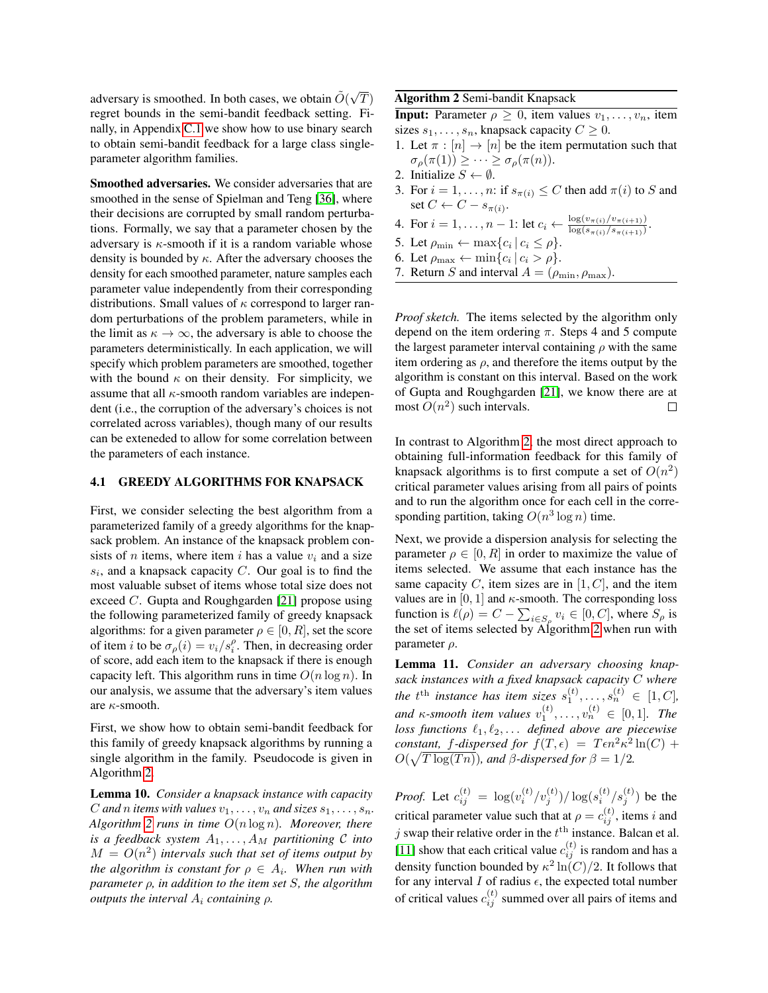adversary is smoothed. In both cases, we obtain  $\tilde{O}(\sqrt{2})$  $\left(T\right)$ regret bounds in the semi-bandit feedback setting. Finally, in Appendix [C.1](#page-19-0) we show how to use binary search to obtain semi-bandit feedback for a large class singleparameter algorithm families.

Smoothed adversaries. We consider adversaries that are smoothed in the sense of Spielman and Teng [\[36\]](#page-9-21), where their decisions are corrupted by small random perturbations. Formally, we say that a parameter chosen by the adversary is  $\kappa$ -smooth if it is a random variable whose density is bounded by  $\kappa$ . After the adversary chooses the density for each smoothed parameter, nature samples each parameter value independently from their corresponding distributions. Small values of  $\kappa$  correspond to larger random perturbations of the problem parameters, while in the limit as  $\kappa \to \infty$ , the adversary is able to choose the parameters deterministically. In each application, we will specify which problem parameters are smoothed, together with the bound  $\kappa$  on their density. For simplicity, we assume that all  $\kappa$ -smooth random variables are independent (i.e., the corruption of the adversary's choices is not correlated across variables), though many of our results can be exteneded to allow for some correlation between the parameters of each instance.

### <span id="page-6-0"></span>4.1 GREEDY ALGORITHMS FOR KNAPSACK

First, we consider selecting the best algorithm from a parameterized family of a greedy algorithms for the knapsack problem. An instance of the knapsack problem consists of *n* items, where item *i* has a value  $v_i$  and a size  $s_i$ , and a knapsack capacity  $C$ . Our goal is to find the most valuable subset of items whose total size does not exceed C. Gupta and Roughgarden [\[21\]](#page-9-5) propose using the following parameterized family of greedy knapsack algorithms: for a given parameter  $\rho \in [0, R]$ , set the score of item *i* to be  $\sigma_{\rho}(i) = v_i/s_i^{\rho}$ . Then, in decreasing order of score, add each item to the knapsack if there is enough capacity left. This algorithm runs in time  $O(n \log n)$ . In our analysis, we assume that the adversary's item values are κ-smooth.

First, we show how to obtain semi-bandit feedback for this family of greedy knapsack algorithms by running a single algorithm in the family. Pseudocode is given in Algorithm [2.](#page-6-1)

Lemma 10. *Consider a knapsack instance with capacity* C and *n* items with values  $v_1, \ldots, v_n$  and sizes  $s_1, \ldots, s_n$ . *Algorithm [2](#page-6-1) runs in time* O(n log n)*. Moreover, there is a feedback system*  $A_1, \ldots, A_M$  *partitioning*  $C$  *into*  $M = O(n^2)$  intervals such that set of items output by *the algorithm is constant for*  $\rho \in A_i$ *. When run with parameter* ρ*, in addition to the item set* S*, the algorithm outputs the interval* A<sup>i</sup> *containing* ρ*.*

Algorithm 2 Semi-bandit Knapsack

**Input:** Parameter  $\rho \geq 0$ , item values  $v_1, \ldots, v_n$ , item sizes  $s_1, \ldots, s_n$ , knapsack capacity  $C \geq 0$ .

- 1. Let  $\pi : [n] \to [n]$  be the item permutation such that  $\sigma_{\rho}(\pi(1)) \geq \cdots \geq \sigma_{\rho}(\pi(n)).$
- 2. Initialize  $S \leftarrow \emptyset$ .
- 3. For  $i = 1, \ldots, n$ : if  $s_{\pi(i)} \leq C$  then add  $\pi(i)$  to S and set  $C \leftarrow C - s_{\pi(i)}$ .
- 4. For  $i = 1, ..., n 1$ : let  $c_i \leftarrow \frac{\log(v_{\pi(i)}/v_{\pi(i+1)})}{\log(s_{\pi(i)}/s_{\pi(i+1)})}$  $\log(s_{\pi(i)}/s_{\pi(i+1)})$ .
- 5. Let  $\rho_{\min} \leftarrow \max\{c_i | c_i \leq \rho\}.$
- 6. Let  $\rho_{\text{max}} \leftarrow \min\{c_i | c_i > \rho\}.$
- <span id="page-6-1"></span>7. Return S and interval  $A = (\rho_{\min}, \rho_{\max})$ .

*Proof sketch.* The items selected by the algorithm only depend on the item ordering  $\pi$ . Steps 4 and 5 compute the largest parameter interval containing  $\rho$  with the same item ordering as  $\rho$ , and therefore the items output by the algorithm is constant on this interval. Based on the work of Gupta and Roughgarden [\[21\]](#page-9-5), we know there are at most  $O(n^2)$  such intervals.  $\Box$ 

In contrast to Algorithm [2,](#page-6-1) the most direct approach to obtaining full-information feedback for this family of knapsack algorithms is to first compute a set of  $O(n^2)$ critical parameter values arising from all pairs of points and to run the algorithm once for each cell in the corresponding partition, taking  $O(n^3 \log n)$  time.

Next, we provide a dispersion analysis for selecting the parameter  $\rho \in [0, R]$  in order to maximize the value of items selected. We assume that each instance has the same capacity  $C$ , item sizes are in [1,  $C$ ], and the item values are in  $[0, 1]$  and  $\kappa$ -smooth. The corresponding loss function is  $\ell(\rho) = C - \sum_{i \in S_{\rho}} v_i \in [0, C]$ , where  $S_{\rho}$  is the set of items selected by Algorithm [2](#page-6-1) when run with parameter  $\rho$ .

<span id="page-6-2"></span>Lemma 11. *Consider an adversary choosing knapsack instances with a fixed knapsack capacity* C *where* the  $t^{\text{th}}$  instance has item sizes  $s_1^{(t)}, \ldots, s_n^{(t)} \in [1, C]$ , and  $\kappa$ -smooth item values  $v_1^{(t)}, \ldots, v_n^{(t)} \in [0,1]$ . The *loss functions*  $\ell_1, \ell_2, \ldots$  *defined above are piecewise constant,* f-dispersed for  $f(T, \epsilon) = T\epsilon n^2 \kappa^2 \ln(C) +$  $O(\sqrt{T \log(Tn)})$ *, and*  $\beta$ *-dispersed for*  $\beta = 1/2$ *.* 

*Proof.* Let  $c_{ij}^{(t)} = \log(v_i^{(t)}/v_j^{(t)})/\log(s_i^{(t)}/s_j^{(t)})$  be the critical parameter value such that at  $\rho = c_{ij}^{(t)}$ , items i and j swap their relative order in the  $t<sup>th</sup>$  instance. Balcan et al. [\[11\]](#page-9-4) show that each critical value  $c_{ij}^{(t)}$  is random and has a density function bounded by  $\kappa^2 \ln(C)/2$ . It follows that for any interval  $I$  of radius  $\epsilon$ , the expected total number of critical values  $c_{ij}^{(t)}$  summed over all pairs of items and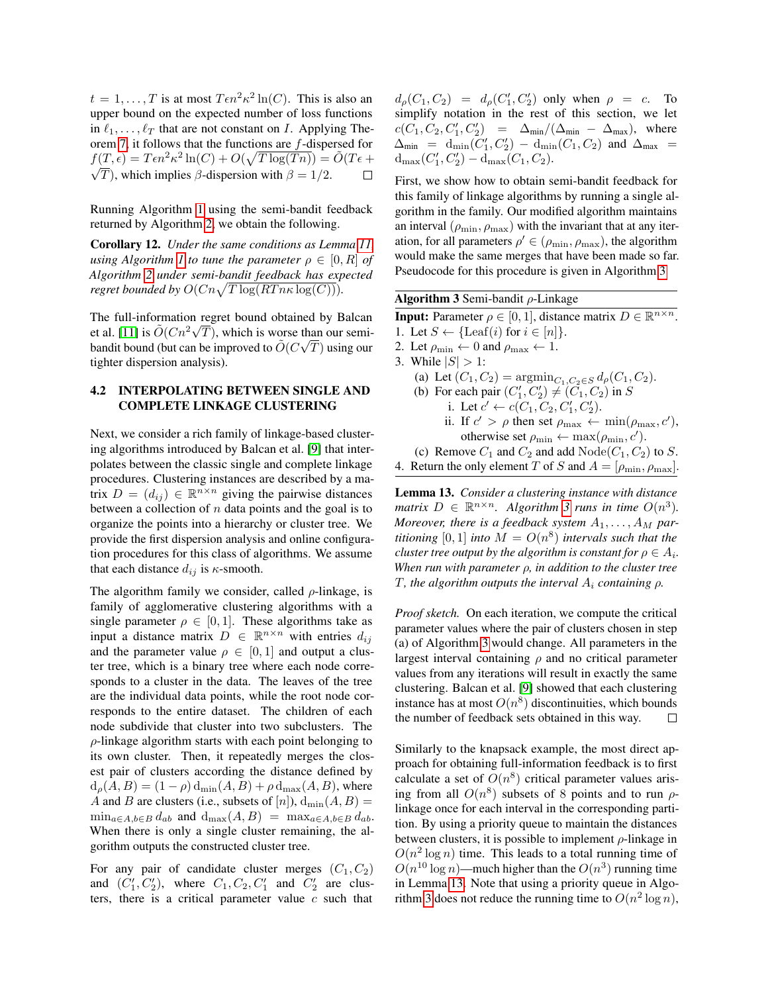$t = 1, \ldots, T$  is at most  $T \epsilon n^2 \kappa^2 \ln(C)$ . This is also an upper bound on the expected number of loss functions in  $\ell_1, \ldots, \ell_T$  that are not constant on I. Applying Theorem [7,](#page-5-2) it follows that the functions are f-dispersed for  $f(T,\epsilon) = T\epsilon n^2 \kappa^2 \ln(C) + O(\sqrt{T \log(Tn)}) = \tilde{O}(T\epsilon +$  $\sqrt{T}$ ), which implies  $\beta$ -dispersion with  $\beta = 1/2$ .

Running Algorithm [1](#page-4-0) using the semi-bandit feedback returned by Algorithm [2,](#page-6-1) we obtain the following.

Corollary 12. *Under the same conditions as Lemma [11,](#page-6-2) using Algorithm [1](#page-4-0) to tune the parameter*  $\rho \in [0, R]$  *of Algorithm [2](#page-6-1) under semi-bandit feedback has expected regret bounded by*  $O(Cn\sqrt{T \log(RT n \kappa \log(C))})$ .

The full-information regret bound obtained by Balcan et al. [\[11\]](#page-9-4) is  $\tilde{O}(Cn^2\sqrt{T})$ , which is worse than our semibandit bound (but can be improved to  $\tilde{O}(C\sqrt{T})$  using our tighter dispersion analysis).

### <span id="page-7-2"></span>4.2 INTERPOLATING BETWEEN SINGLE AND COMPLETE LINKAGE CLUSTERING

Next, we consider a rich family of linkage-based clustering algorithms introduced by Balcan et al. [\[9\]](#page-9-7) that interpolates between the classic single and complete linkage procedures. Clustering instances are described by a matrix  $D = (d_{ij}) \in \mathbb{R}^{n \times n}$  giving the pairwise distances between a collection of  $n$  data points and the goal is to organize the points into a hierarchy or cluster tree. We provide the first dispersion analysis and online configuration procedures for this class of algorithms. We assume that each distance  $d_{ij}$  is  $\kappa$ -smooth.

The algorithm family we consider, called  $\rho$ -linkage, is family of agglomerative clustering algorithms with a single parameter  $\rho \in [0, 1]$ . These algorithms take as input a distance matrix  $D \in \mathbb{R}^{n \times n}$  with entries  $d_{ij}$ and the parameter value  $\rho \in [0, 1]$  and output a cluster tree, which is a binary tree where each node corresponds to a cluster in the data. The leaves of the tree are the individual data points, while the root node corresponds to the entire dataset. The children of each node subdivide that cluster into two subclusters. The  $\rho$ -linkage algorithm starts with each point belonging to its own cluster. Then, it repeatedly merges the closest pair of clusters according the distance defined by  $d_{\rho}(A, B) = (1 - \rho) d_{\min}(A, B) + \rho d_{\max}(A, B)$ , where A and B are clusters (i.e., subsets of [n]),  $d_{min}(A, B) =$  $\min_{a \in A, b \in B} d_{ab}$  and  $d_{\max}(A, B) = \max_{a \in A, b \in B} d_{ab}$ . When there is only a single cluster remaining, the algorithm outputs the constructed cluster tree.

For any pair of candidate cluster merges  $(C_1, C_2)$ and  $(C'_1, C'_2)$ , where  $C_1, C_2, C'_1$  and  $C'_2$  are clusters, there is a critical parameter value  $c$  such that

 $d_{\rho}(C_1, C_2) = d_{\rho}(C'_1, C'_2)$  only when  $\rho = c$ . To simplify notation in the rest of this section, we let  $c(C_1, C_2, C'_1, C'_2) = \Delta_{\min}/(\Delta_{\min} - \Delta_{\max}),$  where  $\Delta_{\min}$  = d<sub>min</sub> $(C_1', C_2') - d_{\min}(C_1, C_2)$  and  $\Delta_{\max}$  =  $d_{\max}(C'_1, C'_2) - d_{\max}(C_1, C_2).$ 

First, we show how to obtain semi-bandit feedback for this family of linkage algorithms by running a single algorithm in the family. Our modified algorithm maintains an interval  $(\rho_{\min}, \rho_{\max})$  with the invariant that at any iteration, for all parameters  $\rho' \in (\rho_{\min}, \rho_{\max})$ , the algorithm would make the same merges that have been made so far. Pseudocode for this procedure is given in Algorithm [3](#page-7-0)

Algorithm 3 Semi-bandit  $\rho$ -Linkage

**Input:** Parameter  $\rho \in [0, 1]$ , distance matrix  $D \in \mathbb{R}^{n \times n}$ . 1. Let  $S \leftarrow {\text{Leaf}(i) \text{ for } i \in [n]}$ . 2. Let  $\rho_{\min} \leftarrow 0$  and  $\rho_{\max} \leftarrow 1$ . 3. While  $|S| > 1$ : (a) Let  $(C_1, C_2) = \text{argmin}_{C_1, C_2 \in S} d_\rho(C_1, C_2)$ . (b) For each pair  $(C'_1, C'_2) \neq (C_1, C_2)$  in S i. Let  $c' \leftarrow c(C_1, C_2, C'_1, C'_2)$ . ii. If  $c' > \rho$  then set  $\rho_{\text{max}} \leftarrow \min(\rho_{\text{max}}, c'),$ otherwise set  $\rho_{\min} \leftarrow \max(\rho_{\min}, c').$ (c) Remove  $C_1$  and  $C_2$  and add  $\text{Node}(C_1, C_2)$  to S. 4. Return the only element T of S and  $A = [\rho_{\min}, \rho_{\max}]$ .

<span id="page-7-1"></span><span id="page-7-0"></span>Lemma 13. *Consider a clustering instance with distance matrix*  $D \in \mathbb{R}^{n \times n}$ *. Algorithm [3](#page-7-0) runs in time*  $O(n^3)$ *. Moreover, there is a feedback system*  $A_1, \ldots, A_M$  *partitioning* [0, 1] *into*  $M = O(n^8)$  *intervals such that the cluster tree output by the algorithm is constant for*  $\rho \in A_i$ . *When run with parameter* ρ*, in addition to the cluster tree* T, the algorithm outputs the interval  $A_i$  containing  $\rho$ .

*Proof sketch.* On each iteration, we compute the critical parameter values where the pair of clusters chosen in step (a) of Algorithm [3](#page-7-0) would change. All parameters in the largest interval containing  $\rho$  and no critical parameter values from any iterations will result in exactly the same clustering. Balcan et al. [\[9\]](#page-9-7) showed that each clustering instance has at most  $O(n^8)$  discontinuities, which bounds the number of feedback sets obtained in this way.  $\Box$ 

Similarly to the knapsack example, the most direct approach for obtaining full-information feedback is to first calculate a set of  $O(n^8)$  critical parameter values arising from all  $O(n^8)$  subsets of 8 points and to run  $\rho$ linkage once for each interval in the corresponding partition. By using a priority queue to maintain the distances between clusters, it is possible to implement  $\rho$ -linkage in  $O(n^2 \log n)$  time. This leads to a total running time of  $O(n^{10} \log n)$ —much higher than the  $O(n^3)$  running time in Lemma [13.](#page-7-1) Note that using a priority queue in Algo-rithm [3](#page-7-0) does not reduce the running time to  $O(n^2 \log n)$ ,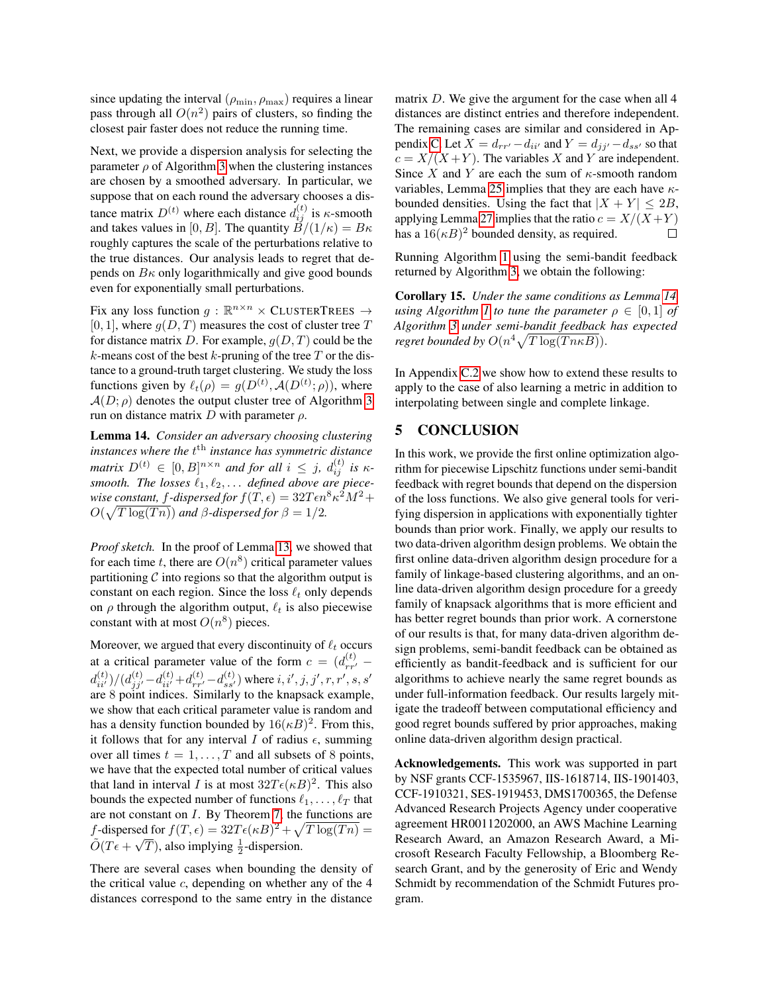since updating the interval  $(\rho_{\min}, \rho_{\max})$  requires a linear pass through all  $O(n^2)$  pairs of clusters, so finding the closest pair faster does not reduce the running time.

Next, we provide a dispersion analysis for selecting the parameter  $\rho$  of Algorithm [3](#page-7-0) when the clustering instances are chosen by a smoothed adversary. In particular, we suppose that on each round the adversary chooses a distance matrix  $D^{(t)}$  where each distance  $d_{ij}^{(t)}$  is  $\kappa$ -smooth and takes values in [0, B]. The quantity  $B/(1/\kappa) = B\kappa$ roughly captures the scale of the perturbations relative to the true distances. Our analysis leads to regret that depends on  $B\kappa$  only logarithmically and give good bounds even for exponentially small perturbations.

Fix any loss function  $g : \mathbb{R}^{n \times n} \times$  CLUSTERTREES  $\rightarrow$ [0, 1], where  $g(D, T)$  measures the cost of cluster tree T for distance matrix D. For example,  $q(D, T)$  could be the k-means cost of the best k-pruning of the tree  $T$  or the distance to a ground-truth target clustering. We study the loss functions given by  $\ell_t(\rho) = g(D^{(t)}, \mathcal{A}(D^{(t)}; \rho))$ , where  $A(D; \rho)$  denotes the output cluster tree of Algorithm [3](#page-7-0) run on distance matrix D with parameter  $ρ$ .

<span id="page-8-0"></span>Lemma 14. *Consider an adversary choosing clustering instances where the* t th *instance has symmetric distance matrix*  $D^{(t)} \in [0, B]^{n \times n}$  *and for all*  $i \leq j$ ,  $d_{ij}^{(t)}$  *is*  $\kappa$ smooth. The losses  $\ell_1, \ell_2, \ldots$  defined above are piecewise constant, f-dispersed for  $f(T, \epsilon) = 32T\epsilon n^8 \kappa^2 M^2 + 1$  $O(\sqrt{T \log(Tn)})$  *and*  $\beta$ -dispersed for  $\beta = 1/2$ .

*Proof sketch.* In the proof of Lemma [13,](#page-7-1) we showed that for each time t, there are  $O(n^8)$  critical parameter values partitioning  $C$  into regions so that the algorithm output is constant on each region. Since the loss  $\ell_t$  only depends on  $\rho$  through the algorithm output,  $\ell_t$  is also piecewise constant with at most  $O(n^8)$  pieces.

Moreover, we argued that every discontinuity of  $\ell_t$  occurs at a critical parameter value of the form  $c = (d_{rr'}^{(t)}$  $d_{ii'}^{(t)})/(d_{jj'}^{(t)}-d_{ii'}^{(t)}+d_{rr'}^{(t)}-d_{ss'}^{(t)})$  where  $i,i',j,j',r,r',s,s'$ are 8 point indices. Similarly to the knapsack example, we show that each critical parameter value is random and has a density function bounded by  $16(\kappa B)^2$ . From this, it follows that for any interval I of radius  $\epsilon$ , summing over all times  $t = 1, \ldots, T$  and all subsets of 8 points, we have that the expected total number of critical values that land in interval *I* is at most  $32T\epsilon(\kappa B)^2$ . This also bounds the expected number of functions  $\ell_1, \ldots, \ell_T$  that are not constant on I. By Theorem [7,](#page-5-2) the functions are f-dispersed for  $f(T, \epsilon) = 32T\epsilon(\kappa B)^2 + \sqrt{T \log(Tn)} =$  $\tilde{O}(T\epsilon + \sqrt{T})$ , also implying  $\frac{1}{2}$ -dispersion.

There are several cases when bounding the density of the critical value  $c$ , depending on whether any of the  $4$ distances correspond to the same entry in the distance matrix D. We give the argument for the case when all 4 distances are distinct entries and therefore independent. The remaining cases are similar and considered in Ap-pendix [C.](#page-17-0) Let  $X = d_{rr'} - d_{ii'}$  and  $Y = d_{jj'} - d_{ss'}$  so that  $c = X/(X+Y)$ . The variables X and Y are independent. Since X and Y are each the sum of  $\kappa$ -smooth random variables, Lemma [25](#page-21-0) implies that they are each have  $\kappa$ bounded densities. Using the fact that  $|X + Y| < 2B$ , applying Lemma [27](#page-21-1) implies that the ratio  $c = X/(X+Y)$ has a  $16(\kappa B)^2$  bounded density, as required.  $\Box$ 

Running Algorithm [1](#page-4-0) using the semi-bandit feedback returned by Algorithm [3,](#page-7-0) we obtain the following:

Corollary 15. *Under the same conditions as Lemma [14,](#page-8-0) using Algorithm [1](#page-4-0) to tune the parameter*  $\rho \in [0,1]$  *of Algorithm [3](#page-7-0) under semi-bandit feedback has expected regret bounded by*  $O(n^4 \sqrt{T \log(T n \kappa B)})$ .

In Appendix [C.2](#page-20-0) we show how to extend these results to apply to the case of also learning a metric in addition to interpolating between single and complete linkage.

## 5 CONCLUSION

In this work, we provide the first online optimization algorithm for piecewise Lipschitz functions under semi-bandit feedback with regret bounds that depend on the dispersion of the loss functions. We also give general tools for verifying dispersion in applications with exponentially tighter bounds than prior work. Finally, we apply our results to two data-driven algorithm design problems. We obtain the first online data-driven algorithm design procedure for a family of linkage-based clustering algorithms, and an online data-driven algorithm design procedure for a greedy family of knapsack algorithms that is more efficient and has better regret bounds than prior work. A cornerstone of our results is that, for many data-driven algorithm design problems, semi-bandit feedback can be obtained as efficiently as bandit-feedback and is sufficient for our algorithms to achieve nearly the same regret bounds as under full-information feedback. Our results largely mitigate the tradeoff between computational efficiency and good regret bounds suffered by prior approaches, making online data-driven algorithm design practical.

Acknowledgements. This work was supported in part by NSF grants CCF-1535967, IIS-1618714, IIS-1901403, CCF-1910321, SES-1919453, DMS1700365, the Defense Advanced Research Projects Agency under cooperative agreement HR0011202000, an AWS Machine Learning Research Award, an Amazon Research Award, a Microsoft Research Faculty Fellowship, a Bloomberg Research Grant, and by the generosity of Eric and Wendy Schmidt by recommendation of the Schmidt Futures program.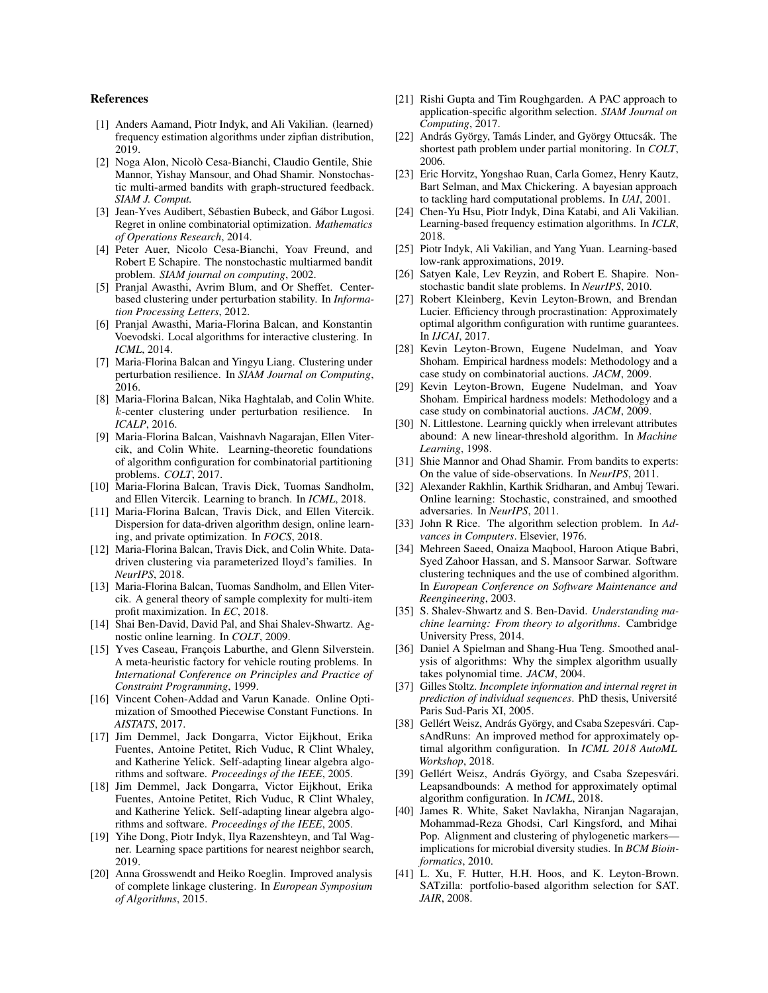#### References

- <span id="page-9-23"></span>[1] Anders Aamand, Piotr Indyk, and Ali Vakilian. (learned) frequency estimation algorithms under zipfian distribution, 2019.
- <span id="page-9-37"></span>[2] Noga Alon, Nicolo Cesa-Bianchi, Claudio Gentile, Shie ` Mannor, Yishay Mansour, and Ohad Shamir. Nonstochastic multi-armed bandits with graph-structured feedback. *SIAM J. Comput.*
- <span id="page-9-36"></span>[3] Jean-Yves Audibert, Sébastien Bubeck, and Gábor Lugosi. Regret in online combinatorial optimization. *Mathematics of Operations Research*, 2014.
- <span id="page-9-39"></span>[4] Peter Auer, Nicolo Cesa-Bianchi, Yoav Freund, and Robert E Schapire. The nonstochastic multiarmed bandit problem. *SIAM journal on computing*, 2002.
- <span id="page-9-11"></span>[5] Pranjal Awasthi, Avrim Blum, and Or Sheffet. Centerbased clustering under perturbation stability. In *Information Processing Letters*, 2012.
- <span id="page-9-8"></span>[6] Pranjal Awasthi, Maria-Florina Balcan, and Konstantin Voevodski. Local algorithms for interactive clustering. In *ICML*, 2014.
- <span id="page-9-13"></span>[7] Maria-Florina Balcan and Yingyu Liang. Clustering under perturbation resilience. In *SIAM Journal on Computing*, 2016.
- <span id="page-9-12"></span>[8] Maria-Florina Balcan, Nika Haghtalab, and Colin White. k-center clustering under perturbation resilience. In *ICALP*, 2016.
- <span id="page-9-7"></span>[9] Maria-Florina Balcan, Vaishnavh Nagarajan, Ellen Vitercik, and Colin White. Learning-theoretic foundations of algorithm configuration for combinatorial partitioning problems. *COLT*, 2017.
- <span id="page-9-15"></span>[10] Maria-Florina Balcan, Travis Dick, Tuomas Sandholm, and Ellen Vitercik. Learning to branch. In *ICML*, 2018.
- <span id="page-9-4"></span>[11] Maria-Florina Balcan, Travis Dick, and Ellen Vitercik. Dispersion for data-driven algorithm design, online learning, and private optimization. In *FOCS*, 2018.
- <span id="page-9-16"></span>[12] Maria-Florina Balcan, Travis Dick, and Colin White. Datadriven clustering via parameterized lloyd's families. In *NeurIPS*, 2018.
- <span id="page-9-17"></span>[13] Maria-Florina Balcan, Tuomas Sandholm, and Ellen Vitercik. A general theory of sample complexity for multi-item profit maximization. In *EC*, 2018.
- <span id="page-9-19"></span>[14] Shai Ben-David, David Pal, and Shai Shalev-Shwartz. Agnostic online learning. In *COLT*, 2009.
- <span id="page-9-30"></span>[15] Yves Caseau, François Laburthe, and Glenn Silverstein. A meta-heuristic factory for vehicle routing problems. In *International Conference on Principles and Practice of Constraint Programming*, 1999.
- <span id="page-9-6"></span>[16] Vincent Cohen-Addad and Varun Kanade. Online Optimization of Smoothed Piecewise Constant Functions. In *AISTATS*, 2017.
- <span id="page-9-29"></span>[17] Jim Demmel, Jack Dongarra, Victor Eijkhout, Erika Fuentes, Antoine Petitet, Rich Vuduc, R Clint Whaley, and Katherine Yelick. Self-adapting linear algebra algorithms and software. *Proceedings of the IEEE*, 2005.
- <span id="page-9-3"></span>[18] Jim Demmel, Jack Dongarra, Victor Eijkhout, Erika Fuentes, Antoine Petitet, Rich Vuduc, R Clint Whaley, and Katherine Yelick. Self-adapting linear algebra algorithms and software. *Proceedings of the IEEE*, 2005.
- <span id="page-9-26"></span>[19] Yihe Dong, Piotr Indyk, Ilya Razenshteyn, and Tal Wagner. Learning space partitions for nearest neighbor search, 2019.
- <span id="page-9-14"></span>[20] Anna Grosswendt and Heiko Roeglin. Improved analysis of complete linkage clustering. In *European Symposium of Algorithms*, 2015.
- <span id="page-9-5"></span>[21] Rishi Gupta and Tim Roughgarden. A PAC approach to application-specific algorithm selection. *SIAM Journal on Computing*, 2017.
- <span id="page-9-34"></span>[22] András György, Tamás Linder, and György Ottucsák. The shortest path problem under partial monitoring. In *COLT*, 2006.
- <span id="page-9-0"></span>[23] Eric Horvitz, Yongshao Ruan, Carla Gomez, Henry Kautz, Bart Selman, and Max Chickering. A bayesian approach to tackling hard computational problems. In *UAI*, 2001.
- <span id="page-9-24"></span>[24] Chen-Yu Hsu, Piotr Indyk, Dina Katabi, and Ali Vakilian. Learning-based frequency estimation algorithms. In *ICLR*, 2018.
- <span id="page-9-25"></span>[25] Piotr Indyk, Ali Vakilian, and Yang Yuan. Learning-based low-rank approximations, 2019.
- <span id="page-9-35"></span>[26] Satyen Kale, Lev Reyzin, and Robert E. Shapire. Nonstochastic bandit slate problems. In *NeurIPS*, 2010.
- <span id="page-9-31"></span>[27] Robert Kleinberg, Kevin Leyton-Brown, and Brendan Lucier. Efficiency through procrastination: Approximately optimal algorithm configuration with runtime guarantees. In *IJCAI*, 2017.
- <span id="page-9-28"></span>[28] Kevin Leyton-Brown, Eugene Nudelman, and Yoav Shoham. Empirical hardness models: Methodology and a case study on combinatorial auctions. *JACM*, 2009.
- <span id="page-9-2"></span>[29] Kevin Leyton-Brown, Eugene Nudelman, and Yoav Shoham. Empirical hardness models: Methodology and a case study on combinatorial auctions. *JACM*, 2009.
- <span id="page-9-18"></span>[30] N. Littlestone. Learning quickly when irrelevant attributes abound: A new linear-threshold algorithm. In *Machine Learning*, 1998.
- <span id="page-9-38"></span>[31] Shie Mannor and Ohad Shamir. From bandits to experts: On the value of side-observations. In *NeurIPS*, 2011.
- <span id="page-9-20"></span>[32] Alexander Rakhlin, Karthik Sridharan, and Ambuj Tewari. Online learning: Stochastic, constrained, and smoothed adversaries. In *NeurIPS*, 2011.
- <span id="page-9-27"></span>[33] John R Rice. The algorithm selection problem. In *Advances in Computers*. Elsevier, 1976.
- <span id="page-9-9"></span>[34] Mehreen Saeed, Onaiza Maqbool, Haroon Atique Babri, Syed Zahoor Hassan, and S. Mansoor Sarwar. Software clustering techniques and the use of combined algorithm. In *European Conference on Software Maintenance and Reengineering*, 2003.
- <span id="page-9-22"></span>[35] S. Shalev-Shwartz and S. Ben-David. *Understanding machine learning: From theory to algorithms*. Cambridge University Press, 2014.
- <span id="page-9-21"></span>[36] Daniel A Spielman and Shang-Hua Teng. Smoothed analysis of algorithms: Why the simplex algorithm usually takes polynomial time. *JACM*, 2004.
- <span id="page-9-40"></span>[37] Gilles Stoltz. *Incomplete information and internal regret in prediction of individual sequences*. PhD thesis, Universite´ Paris Sud-Paris XI, 2005.
- <span id="page-9-33"></span>[38] Gellért Weisz, András György, and Csaba Szepesvári. CapsAndRuns: An improved method for approximately optimal algorithm configuration. In *ICML 2018 AutoML Workshop*, 2018.
- <span id="page-9-32"></span>[39] Gellért Weisz, András György, and Csaba Szepesvári. Leapsandbounds: A method for approximately optimal algorithm configuration. In *ICML*, 2018.
- <span id="page-9-10"></span>[40] James R. White, Saket Navlakha, Niranjan Nagarajan, Mohammad-Reza Ghodsi, Carl Kingsford, and Mihai Pop. Alignment and clustering of phylogenetic markers implications for microbial diversity studies. In *BCM Bioinformatics*, 2010.
- <span id="page-9-1"></span>[41] L. Xu, F. Hutter, H.H. Hoos, and K. Leyton-Brown. SATzilla: portfolio-based algorithm selection for SAT. *JAIR*, 2008.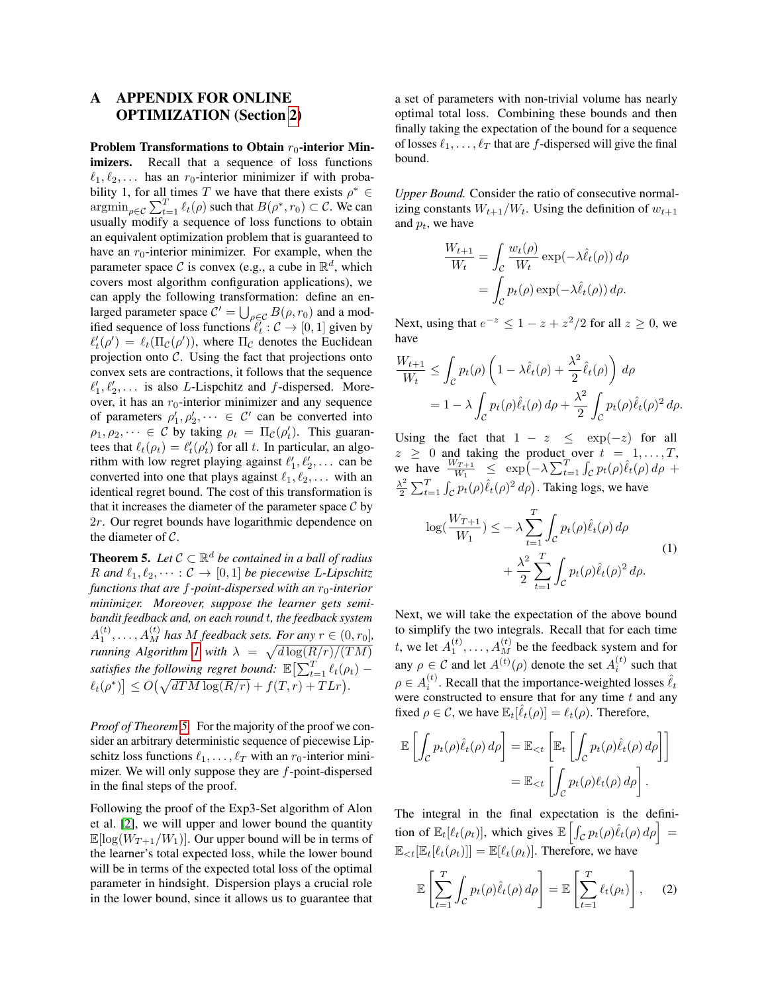## <span id="page-10-0"></span>A APPENDIX FOR ONLINE OPTIMIZATION (Section [2\)](#page-3-0)

Problem Transformations to Obtain  $r_0$ -interior Minimizers. Recall that a sequence of loss functions  $\ell_1, \ell_2, \ldots$  has an  $r_0$ -interior minimizer if with probability 1, for all times T we have that there exists  $\rho^* \in$  $\operatorname{argmin}_{\rho \in \mathcal{C}} \sum_{t=1}^T \ell_t(\rho)$  such that  $B(\rho^*, r_0) \subset \mathcal{C}$ . We can usually modify a sequence of loss functions to obtain an equivalent optimization problem that is guaranteed to have an  $r_0$ -interior minimizer. For example, when the parameter space C is convex (e.g., a cube in  $\mathbb{R}^d$ , which covers most algorithm configuration applications), we can apply the following transformation: define an enlarged parameter space  $C' = \bigcup_{\rho \in C} B(\rho, r_0)$  and a modified sequence of loss functions  $\ell_t^{\gamma}$  :  $\mathcal{C} \to [0, 1]$  given by  $\ell'_t(\rho') = \ell_t(\Pi_{\mathcal{C}}(\rho'))$ , where  $\Pi_{\mathcal{C}}$  denotes the Euclidean projection onto  $C$ . Using the fact that projections onto convex sets are contractions, it follows that the sequence  $\ell'_1, \ell'_2, \ldots$  is also L-Lispchitz and f-dispersed. Moreover, it has an  $r_0$ -interior minimizer and any sequence of parameters  $\rho'_1, \rho'_2, \dots \in C'$  can be converted into  $\rho_1, \rho_2, \dots \in \mathcal{C}$  by taking  $\rho_t = \Pi_{\mathcal{C}}(\rho_t)$ . This guarantees that  $\ell_t(\rho_t) = \ell'_t(\rho'_t)$  for all t. In particular, an algorithm with low regret playing against  $\ell'_1, \ell'_2, \ldots$  can be converted into one that plays against  $\ell_1, \ell_2, \ldots$  with an identical regret bound. The cost of this transformation is that it increases the diameter of the parameter space  $\mathcal C$  by 2r. Our regret bounds have logarithmic dependence on the diameter of C.

**Theorem 5.** Let  $C \subset \mathbb{R}^d$  be contained in a ball of radius R and  $\ell_1, \ell_2, \cdots : C \rightarrow [0, 1]$  *be piecewise* L-Lipschitz *functions that are f-point-dispersed with an r<sub>0</sub>-interior minimizer. Moreover, suppose the learner gets semibandit feedback and, on each round* t*, the feedback system*  $A_1^{(t)}, \ldots, A_M^{(t)}$  has M feedback sets. For any  $r \in (0, r_0]$ , *running Algorithm [1](#page-4-0) with*  $\lambda = \sqrt{d \log(R/r)/(TM)}$ satisfies the following regret bound:  $\mathbb{E}\left[\sum_{t=1}^T \ell_t(\rho_t) - \right]$  $\ell_t(\rho^*)$   $\leq O(\sqrt{dTM \log(R/r)} + f(T,r) + T L r).$ 

*Proof of Theorem [5.](#page-4-1)* For the majority of the proof we consider an arbitrary deterministic sequence of piecewise Lipschitz loss functions  $\ell_1, \ldots, \ell_T$  with an  $r_0$ -interior minimizer. We will only suppose they are  $f$ -point-dispersed in the final steps of the proof.

Following the proof of the Exp3-Set algorithm of Alon et al. [\[2\]](#page-9-37), we will upper and lower bound the quantity  $\mathbb{E}[\log(W_{T+1}/W_1)]$ . Our upper bound will be in terms of the learner's total expected loss, while the lower bound will be in terms of the expected total loss of the optimal parameter in hindsight. Dispersion plays a crucial role in the lower bound, since it allows us to guarantee that a set of parameters with non-trivial volume has nearly optimal total loss. Combining these bounds and then finally taking the expectation of the bound for a sequence of losses  $\ell_1, \ldots, \ell_T$  that are f-dispersed will give the final bound.

*Upper Bound.* Consider the ratio of consecutive normalizing constants  $W_{t+1}/W_t$ . Using the definition of  $w_{t+1}$ and  $p_t$ , we have

$$
\frac{W_{t+1}}{W_t} = \int_C \frac{w_t(\rho)}{W_t} \exp(-\lambda \hat{\ell}_t(\rho)) d\rho
$$

$$
= \int_C p_t(\rho) \exp(-\lambda \hat{\ell}_t(\rho)) d\rho.
$$

Next, using that  $e^{-z} \leq 1 - z + z^2/2$  for all  $z \geq 0$ , we have

$$
\frac{W_{t+1}}{W_t} \le \int_{\mathcal{C}} p_t(\rho) \left( 1 - \lambda \hat{\ell}_t(\rho) + \frac{\lambda^2}{2} \hat{\ell}_t(\rho) \right) d\rho
$$
  
=  $1 - \lambda \int_{\mathcal{C}} p_t(\rho) \hat{\ell}_t(\rho) d\rho + \frac{\lambda^2}{2} \int_{\mathcal{C}} p_t(\rho) \hat{\ell}_t(\rho)^2 d\rho.$ 

Using the fact that  $1 - z \leq \exp(-z)$  for all  $z \geq 0$  and taking the product over  $t = 1, \ldots, T$ , we have  $\frac{W_{T+1}}{W_1} \leq \exp\left(-\lambda \sum_{t=1}^T \int_{\mathcal{C}} p_t(\rho) \hat{\ell}_t(\rho) d\rho + \right)$  $\lambda^2$  $\frac{\lambda^2}{2} \sum_{t=1}^T \int_{\mathcal{C}} p_t(\rho) \hat{\ell}_t(\rho)^2 d\rho$ ). Taking logs, we have

<span id="page-10-1"></span>
$$
\log(\frac{W_{T+1}}{W_1}) \le -\lambda \sum_{t=1}^T \int_C p_t(\rho) \hat{\ell}_t(\rho) d\rho + \frac{\lambda^2}{2} \sum_{t=1}^T \int_C p_t(\rho) \hat{\ell}_t(\rho)^2 d\rho.
$$
 (1)

Next, we will take the expectation of the above bound to simplify the two integrals. Recall that for each time t, we let  $A_1^{(t)}, \ldots, A_M^{(t)}$  be the feedback system and for any  $\rho \in \mathcal{C}$  and let  $A^{(t)}(\rho)$  denote the set  $A_i^{(t)}$  such that  $\rho \in A_i^{(t)}$ . Recall that the importance-weighted losses  $\hat{\ell}_t$ were constructed to ensure that for any time  $t$  and any fixed  $\rho \in \mathcal{C}$ , we have  $\mathbb{E}_t[\hat{\ell}_t(\rho)] = \ell_t(\rho)$ . Therefore,

$$
\mathbb{E}\left[\int_{\mathcal{C}} p_t(\rho)\hat{\ell}_t(\rho) d\rho\right] = \mathbb{E}_{< t}\left[\mathbb{E}_t\left[\int_{\mathcal{C}} p_t(\rho)\hat{\ell}_t(\rho) d\rho\right]\right]
$$

$$
= \mathbb{E}_{< t}\left[\int_{\mathcal{C}} p_t(\rho)\ell_t(\rho) d\rho\right].
$$

The integral in the final expectation is the definition of  $\mathbb{E}_t[\ell_t(\rho_t)],$  which gives  $\mathbb{E}\left[\int_{\mathcal{C}} p_t(\rho) \hat{\ell}_t(\rho) d\rho\right] =$  $\mathbb{E}_{\leq t}[\mathbb{E}_t[\ell_t(\rho_t)]] = \mathbb{E}[\ell_t(\rho_t)].$  Therefore, we have

<span id="page-10-2"></span>
$$
\mathbb{E}\left[\sum_{t=1}^{T} \int_{\mathcal{C}} p_t(\rho) \hat{\ell}_t(\rho) d\rho\right] = \mathbb{E}\left[\sum_{t=1}^{T} \ell_t(\rho_t)\right], \quad (2)
$$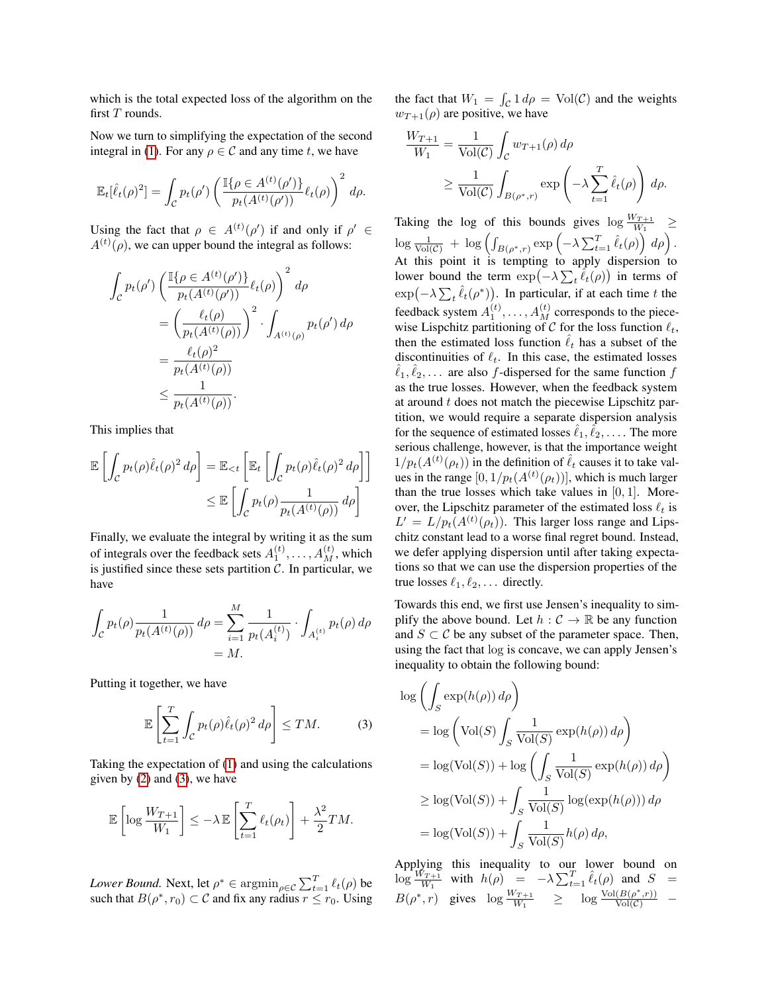which is the total expected loss of the algorithm on the first  $T$  rounds.

Now we turn to simplifying the expectation of the second integral in [\(1\)](#page-10-1). For any  $\rho \in \mathcal{C}$  and any time t, we have

$$
\mathbb{E}_t[\hat{\ell}_t(\rho)^2] = \int_{\mathcal{C}} p_t(\rho') \left( \frac{\mathbb{I}\{\rho \in A^{(t)}(\rho')\}}{p_t(A^{(t)}(\rho'))} \ell_t(\rho) \right)^2 d\rho.
$$

Using the fact that  $\rho \in A^{(t)}(\rho')$  if and only if  $\rho' \in$  $A^{(t)}(\rho)$ , we can upper bound the integral as follows:

$$
\int_{\mathcal{C}} p_t(\rho') \left( \frac{\mathbb{I}\{\rho \in A^{(t)}(\rho')\}}{p_t(A^{(t)}(\rho'))} \ell_t(\rho) \right)^2 d\rho
$$
\n
$$
= \left( \frac{\ell_t(\rho)}{p_t(A^{(t)}(\rho))} \right)^2 \cdot \int_{A^{(t)}(\rho)} p_t(\rho') d\rho
$$
\n
$$
= \frac{\ell_t(\rho)^2}{p_t(A^{(t)}(\rho))}
$$
\n
$$
\leq \frac{1}{p_t(A^{(t)}(\rho))}.
$$

This implies that

$$
\mathbb{E}\left[\int_{\mathcal{C}} p_t(\rho)\hat{\ell}_t(\rho)^2 d\rho\right] = \mathbb{E}_{< t}\left[\mathbb{E}_t\left[\int_{\mathcal{C}} p_t(\rho)\hat{\ell}_t(\rho)^2 d\rho\right]\right] \leq \mathbb{E}\left[\int_{\mathcal{C}} p_t(\rho)\frac{1}{p_t(A^{(t)}(\rho))} d\rho\right]
$$

Finally, we evaluate the integral by writing it as the sum of integrals over the feedback sets  $A_1^{(t)}, \ldots, A_M^{(t)}$ , which is justified since these sets partition  $\tilde{C}$ . In particular, we have

$$
\int_{\mathcal{C}} p_t(\rho) \frac{1}{p_t(A^{(t)}(\rho))} d\rho = \sum_{i=1}^{M} \frac{1}{p_t(A_i^{(t)})} \cdot \int_{A_i^{(t)}} p_t(\rho) d\rho
$$

$$
= M.
$$

Putting it together, we have

<span id="page-11-0"></span>
$$
\mathbb{E}\left[\sum_{t=1}^{T} \int_{\mathcal{C}} p_t(\rho) \hat{\ell}_t(\rho)^2 d\rho\right] \le TM.
$$
 (3)

Taking the expectation of [\(1\)](#page-10-1) and using the calculations given by  $(2)$  and  $(3)$ , we have

$$
\mathbb{E}\left[\log \frac{W_{T+1}}{W_1}\right] \leq -\lambda \mathbb{E}\left[\sum_{t=1}^T \ell_t(\rho_t)\right] + \frac{\lambda^2}{2}TM.
$$

*Lower Bound.* Next, let  $\rho^* \in \operatorname{argmin}_{\rho \in \mathcal{C}} \sum_{t=1}^T \ell_t(\rho)$  be such that  $B(\rho^*, r_0) \subset \mathcal{C}$  and fix any radius  $r \leq r_0$ . Using

the fact that  $W_1 = \int_{\mathcal{C}} 1 d\rho = \text{Vol}(\mathcal{C})$  and the weights  $w_{T+1}(\rho)$  are positive, we have

$$
\frac{W_{T+1}}{W_1} = \frac{1}{\text{Vol}(\mathcal{C})} \int_{\mathcal{C}} w_{T+1}(\rho) d\rho
$$
\n
$$
\geq \frac{1}{\text{Vol}(\mathcal{C})} \int_{B(\rho^*, r)} \exp\left(-\lambda \sum_{t=1}^T \hat{\ell}_t(\rho)\right) d\rho.
$$

Taking the log of this bounds gives  $\log \frac{W_{T+1}}{W_1} \geq$  $\log \frac{1}{\text{Vol}(\mathcal{C})} + \log \left( \int_{B(\rho^*, r)} \exp \left( -\lambda \sum_{t=1}^T \hat{\ell}_t(\rho) \right) d\rho \right).$ At this point it is tempting to apply dispersion to lower bound the term  $\exp(-\lambda \sum_{t} \hat{\ell}_{t}(\rho))$  in terms of  $\exp(-\lambda \sum_{t} \hat{\ell}_{t}(\rho^*))$ . In particular, if at each time t the feedback system  $A_1^{(t)}, \ldots, A_M^{(t)}$  corresponds to the piecewise Lispchitz partitioning of C for the loss function  $\ell_t$ , then the estimated loss function  $\hat{\ell}_t$  has a subset of the discontinuities of  $\ell_t$ . In this case, the estimated losses  $\hat{\ell}_1, \hat{\ell}_2, \ldots$  are also f-dispersed for the same function f as the true losses. However, when the feedback system at around  $t$  does not match the piecewise Lipschitz partition, we would require a separate dispersion analysis for the sequence of estimated losses  $\hat{\ell}_1, \hat{\ell}_2, \ldots$ . The more serious challenge, however, is that the importance weight  $1/p_t(A^{(t)}(\rho_t))$  in the definition of  $\hat{\ell}_t$  causes it to take values in the range  $[0, 1/p_t(A^{(t)}(\rho_t))]$ , which is much larger than the true losses which take values in  $[0, 1]$ . Moreover, the Lipschitz parameter of the estimated loss  $\ell_t$  is  $L' = L/p_t(A^{(t)}(\rho_t))$ . This larger loss range and Lipschitz constant lead to a worse final regret bound. Instead, we defer applying dispersion until after taking expectations so that we can use the dispersion properties of the true losses  $\ell_1, \ell_2, \ldots$  directly.

Towards this end, we first use Jensen's inequality to simplify the above bound. Let  $h : \mathcal{C} \to \mathbb{R}$  be any function and  $S \subset \mathcal{C}$  be any subset of the parameter space. Then, using the fact that log is concave, we can apply Jensen's inequality to obtain the following bound:

$$
\log \left( \int_{S} \exp(h(\rho)) d\rho \right)
$$
  
=  $\log \left( \text{Vol}(S) \int_{S} \frac{1}{\text{Vol}(S)} \exp(h(\rho)) d\rho \right)$   
=  $\log(\text{Vol}(S)) + \log \left( \int_{S} \frac{1}{\text{Vol}(S)} \exp(h(\rho)) d\rho \right)$   
 $\ge \log(\text{Vol}(S)) + \int_{S} \frac{1}{\text{Vol}(S)} \log(\exp(h(\rho))) d\rho$   
=  $\log(\text{Vol}(S)) + \int_{S} \frac{1}{\text{Vol}(S)} h(\rho) d\rho$ ,

Applying this inequality to our lower bound on  $\log \frac{W_{T+1}}{W_1}$  with  $h(\rho) = -\lambda \sum_{t=1}^T \hat{\ell}_t(\rho)$  and  $S =$  $B(\rho^*, r)$  gives  $\log \frac{W_{T+1}}{W_1} \geq \log \frac{\text{Vol}(B(\rho^*, r))}{\text{Vol}(C)}$  –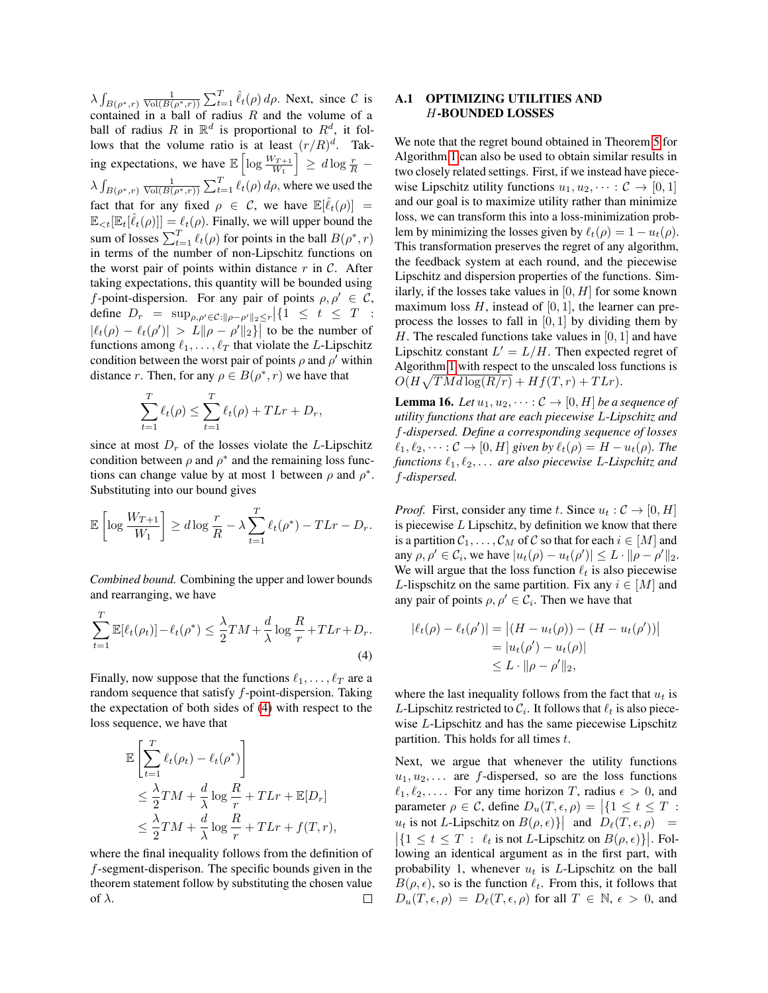$\lambda \int_{B(\rho^*, r)} \frac{1}{\text{Vol}(B(\rho^*, r))} \sum_{t=1}^T \hat{\ell}_t(\rho) d\rho$ . Next, since C is contained in a ball of radius  $R$  and the volume of a ball of radius R in  $\mathbb{R}^d$  is proportional to  $R^d$ , it follows that the volume ratio is at least  $(r/R)^d$ . Taking expectations, we have  $\mathbb{E}\left[\log \frac{W_{T+1}}{W_1}\right] \geq d \log \frac{r}{R}$  –  $\lambda \int_{B(\rho^*, r)} \frac{1}{\text{Vol}(B(\rho^*, r))} \sum_{t=1}^T \ell_t(\rho) d\rho$ , where we used the fact that for any fixed  $\rho \in \mathcal{C}$ , we have  $\mathbb{E}[\hat{\ell}_t(\rho)] =$  $\mathbb{E}_{\leq t}[\mathbb{E}_t[\hat{\ell}_t(\rho)]] = \ell_t(\rho)$ . Finally, we will upper bound the sum of losses  $\sum_{t=1}^{T} \ell_t(\rho)$  for points in the ball  $B(\rho^*, r)$ in terms of the number of non-Lipschitz functions on the worst pair of points within distance  $r$  in  $\mathcal{C}$ . After taking expectations, this quantity will be bounded using f-point-dispersion. For any pair of points  $\rho, \rho' \in \mathcal{C}$ , define  $D_r = \sup_{\rho, \rho' \in \mathcal{C}: ||\rho - \rho'||_2 \le r} |\{1 \le t \le T :$  $|\ell_t(\rho) - \ell_t(\rho')| > L ||\rho - \rho'||_2$  to be the number of functions among  $\ell_1, \ldots, \ell_T$  that violate the L-Lipschitz condition between the worst pair of points  $\rho$  and  $\rho'$  within distance r. Then, for any  $\rho \in B(\rho^*, r)$  we have that

$$
\sum_{t=1}^{T} \ell_t(\rho) \le \sum_{t=1}^{T} \ell_t(\rho) + T L r + D_r,
$$

since at most  $D<sub>r</sub>$  of the losses violate the L-Lipschitz condition between  $\rho$  and  $\rho^*$  and the remaining loss functions can change value by at most 1 between  $\rho$  and  $\rho^*$ . Substituting into our bound gives

$$
\mathbb{E}\left[\log\frac{W_{T+1}}{W_1}\right] \geq d\log\frac{r}{R} - \lambda \sum_{t=1}^T \ell_t(\rho^*) - T L r - D_r.
$$

*Combined bound.* Combining the upper and lower bounds and rearranging, we have

<span id="page-12-1"></span>
$$
\sum_{t=1}^{T} \mathbb{E}[\ell_t(\rho_t)] - \ell_t(\rho^*) \le \frac{\lambda}{2} TM + \frac{d}{\lambda} \log \frac{R}{r} + T L r + D_r.
$$
\n(4)

Finally, now suppose that the functions  $\ell_1, \ldots, \ell_T$  are a random sequence that satisfy  $f$ -point-dispersion. Taking the expectation of both sides of [\(4\)](#page-12-1) with respect to the loss sequence, we have that

$$
\mathbb{E}\left[\sum_{t=1}^{T} \ell_t(\rho_t) - \ell_t(\rho^*)\right] \n\leq \frac{\lambda}{2} TM + \frac{d}{\lambda} \log \frac{R}{r} + T L r + \mathbb{E}[D_r] \n\leq \frac{\lambda}{2} TM + \frac{d}{\lambda} \log \frac{R}{r} + T L r + f(T, r),
$$

where the final inequality follows from the definition of f-segment-disperison. The specific bounds given in the theorem statement follow by substituting the chosen value of  $\lambda$ .  $\Box$ 

### <span id="page-12-0"></span>A.1 OPTIMIZING UTILITIES AND H-BOUNDED LOSSES

We note that the regret bound obtained in Theorem [5](#page-4-1) for Algorithm [1](#page-4-0) can also be used to obtain similar results in two closely related settings. First, if we instead have piecewise Lipschitz utility functions  $u_1, u_2, \dots : C \to [0, 1]$ and our goal is to maximize utility rather than minimize loss, we can transform this into a loss-minimization problem by minimizing the losses given by  $\ell_t(\rho) = 1 - u_t(\rho)$ . This transformation preserves the regret of any algorithm, the feedback system at each round, and the piecewise Lipschitz and dispersion properties of the functions. Similarly, if the losses take values in  $[0, H]$  for some known maximum loss  $H$ , instead of [0, 1], the learner can preprocess the losses to fall in  $[0, 1]$  by dividing them by H. The rescaled functions take values in  $[0, 1]$  and have Lipschitz constant  $L' = L/H$ . Then expected regret of Algorithm [1](#page-4-0) with respect to the unscaled loss functions is  $O(H\sqrt{TMd\log(R/r)} + Hf(T,r) + T Lr).$ 

**Lemma 16.** *Let*  $u_1, u_2, \cdots : C \rightarrow [0, H]$  *be a sequence of utility functions that are each piecewise* L*-Lipschitz and* f*-dispersed. Define a corresponding sequence of losses*  $\ell_1, \ell_2, \cdots : C \to [0, H]$  *given by*  $\ell_t(\rho) = H - u_t(\rho)$ *. The functions*  $\ell_1, \ell_2, \ldots$  *are also piecewise* L-Lispchitz and f*-dispersed.*

*Proof.* First, consider any time t. Since  $u_t : \mathcal{C} \to [0, H]$ is piecewise  $L$  Lipschitz, by definition we know that there is a partition  $C_1, \ldots, C_M$  of C so that for each  $i \in [M]$  and any  $\rho, \rho' \in C_i$ , we have  $|u_t(\rho) - u_t(\rho')| \leq L \cdot ||\rho - \rho'||_2$ . We will argue that the loss function  $\ell_t$  is also piecewise L-lispschitz on the same partition. Fix any  $i \in [M]$  and any pair of points  $\rho, \rho' \in C_i$ . Then we have that

$$
|\ell_t(\rho) - \ell_t(\rho')| = |(H - u_t(\rho)) - (H - u_t(\rho'))|
$$
  
= |u\_t(\rho') - u\_t(\rho)|  

$$
\leq L \cdot ||\rho - \rho'||_2,
$$

where the last inequality follows from the fact that  $u_t$  is L-Lipschitz restricted to  $\mathcal{C}_i$ . It follows that  $\ell_t$  is also piecewise L-Lipschitz and has the same piecewise Lipschitz partition. This holds for all times  $t$ .

Next, we argue that whenever the utility functions  $u_1, u_2, \ldots$  are f-dispersed, so are the loss functions  $\ell_1, \ell_2, \ldots$  For any time horizon T, radius  $\epsilon > 0$ , and parameter  $\rho \in \mathcal{C}$ , define  $D_u(T, \epsilon, \rho) = \left| \{1 \le t \le T :$  $u_t$  is not L-Lipschitz on  $B(\rho, \epsilon)$ } and  $D_\ell(T, \epsilon, \rho)$  =  $\left| \{ 1 \le t \le T : \ell_t \text{ is not } L\text{-Lipschitz on } B(\rho, \epsilon) \} \right|$ . Following an identical argument as in the first part, with probability 1, whenever  $u_t$  is L-Lipschitz on the ball  $B(\rho, \epsilon)$ , so is the function  $\ell_t$ . From this, it follows that  $D_u(T, \epsilon, \rho) = D_\ell(T, \epsilon, \rho)$  for all  $T \in \mathbb{N}, \epsilon > 0$ , and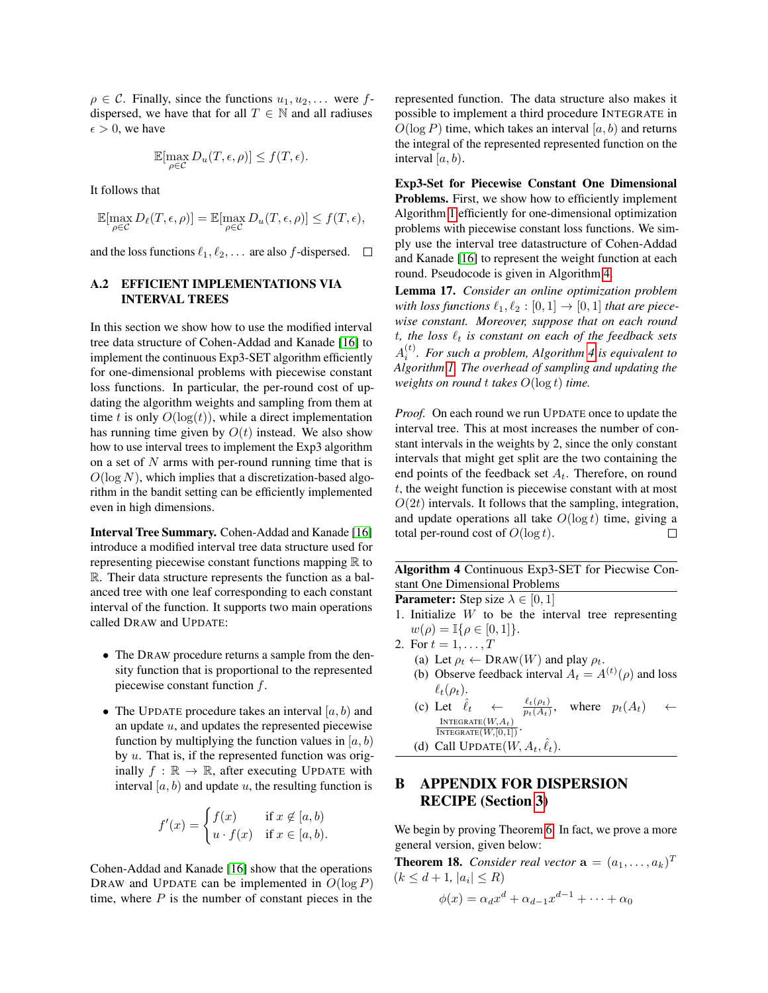$\rho \in \mathcal{C}$ . Finally, since the functions  $u_1, u_2, \ldots$  were fdispersed, we have that for all  $T \in \mathbb{N}$  and all radiuses  $\epsilon > 0$ , we have

$$
\mathbb{E}[\max_{\rho \in \mathcal{C}} D_u(T, \epsilon, \rho)] \le f(T, \epsilon).
$$

It follows that

$$
\mathbb{E}[\max_{\rho \in \mathcal{C}} D_{\ell}(T,\epsilon,\rho)] = \mathbb{E}[\max_{\rho \in \mathcal{C}} D_{u}(T,\epsilon,\rho)] \le f(T,\epsilon),
$$

and the loss functions  $\ell_1, \ell_2, \ldots$  are also f-dispersed.  $\Box$ 

### <span id="page-13-0"></span>A.2 EFFICIENT IMPLEMENTATIONS VIA INTERVAL TREES

In this section we show how to use the modified interval tree data structure of Cohen-Addad and Kanade [\[16\]](#page-9-6) to implement the continuous Exp3-SET algorithm efficiently for one-dimensional problems with piecewise constant loss functions. In particular, the per-round cost of updating the algorithm weights and sampling from them at time t is only  $O(\log(t))$ , while a direct implementation has running time given by  $O(t)$  instead. We also show how to use interval trees to implement the Exp3 algorithm on a set of  $N$  arms with per-round running time that is  $O(\log N)$ , which implies that a discretization-based algorithm in the bandit setting can be efficiently implemented even in high dimensions.

Interval Tree Summary. Cohen-Addad and Kanade [\[16\]](#page-9-6) introduce a modified interval tree data structure used for representing piecewise constant functions mapping  $\mathbb R$  to R. Their data structure represents the function as a balanced tree with one leaf corresponding to each constant interval of the function. It supports two main operations called DRAW and UPDATE:

- The DRAW procedure returns a sample from the density function that is proportional to the represented piecewise constant function f.
- The UPDATE procedure takes an interval  $[a, b)$  and an update  $u$ , and updates the represented piecewise function by multiplying the function values in  $[a, b)$ by  $u$ . That is, if the represented function was originally  $f : \mathbb{R} \to \mathbb{R}$ , after executing UPDATE with interval  $[a, b)$  and update u, the resulting function is

$$
f'(x) = \begin{cases} f(x) & \text{if } x \notin [a, b) \\ u \cdot f(x) & \text{if } x \in [a, b). \end{cases}
$$

Cohen-Addad and Kanade [\[16\]](#page-9-6) show that the operations DRAW and UPDATE can be implemented in  $O(\log P)$ time, where  $P$  is the number of constant pieces in the represented function. The data structure also makes it possible to implement a third procedure INTEGRATE in  $O(\log P)$  time, which takes an interval  $[a, b)$  and returns the integral of the represented represented function on the interval  $[a, b)$ .

Exp3-Set for Piecewise Constant One Dimensional Problems. First, we show how to efficiently implement Algorithm [1](#page-4-0) efficiently for one-dimensional optimization problems with piecewise constant loss functions. We simply use the interval tree datastructure of Cohen-Addad and Kanade [\[16\]](#page-9-6) to represent the weight function at each round. Pseudocode is given in Algorithm [4.](#page-13-2)

Lemma 17. *Consider an online optimization problem with loss functions*  $\ell_1, \ell_2 : [0, 1] \rightarrow [0, 1]$  *that are piecewise constant. Moreover, suppose that on each round*  $t$ *, the loss*  $\ell_t$  *is constant on each of the feedback sets* A (t) i *. For such a problem, Algorithm [4](#page-13-2) is equivalent to Algorithm [1.](#page-4-0) The overhead of sampling and updating the weights on round* t *takes* O(log t) *time.*

*Proof.* On each round we run UPDATE once to update the interval tree. This at most increases the number of constant intervals in the weights by 2, since the only constant intervals that might get split are the two containing the end points of the feedback set  $A_t$ . Therefore, on round t, the weight function is piecewise constant with at most  $O(2t)$  intervals. It follows that the sampling, integration, and update operations all take  $O(\log t)$  time, giving a total per-round cost of  $O(\log t)$ .  $\Box$ 

Algorithm 4 Continuous Exp3-SET for Piecwise Constant One Dimensional Problems

**Parameter:** Step size  $\lambda \in [0, 1]$ 

- 1. Initialize  $W$  to be the interval tree representing  $w(\rho) = \mathbb{I}\{\rho \in [0,1]\}.$
- 2. For  $t = 1, ..., T$ 
	- (a) Let  $\rho_t \leftarrow \text{DRAW}(W)$  and play  $\rho_t$ .
	- (b) Observe feedback interval  $A_t = A^{(t)}(\rho)$  and loss  $\ell_t(\rho_t)$ .
	- (c) Let  $\hat{\ell}_t \leftarrow$  $\frac{\ell_t(\rho_t)}{p_t(A_t)},$  where  $p_t(A_t) \leftarrow$  $\frac{N}{N}\frac{N}{N}\frac{N}{N}\frac{N}{N}\frac{N}{N}}$
	- (d) Call  $\text{UPDATE}(W, A_t, \hat{\ell}_t)$ .

## <span id="page-13-2"></span><span id="page-13-1"></span>B APPENDIX FOR DISPERSION RECIPE (Section [3\)](#page-4-2)

We begin by proving Theorem [6.](#page-5-1) In fact, we prove a more general version, given below:

**Theorem 18.** *Consider real vector*  $\mathbf{a} = (a_1, \ldots, a_k)^T$  $(k \leq d+1, |a_i| \leq R)$ 

$$
\phi(x) = \alpha_d x^d + \alpha_{d-1} x^{d-1} + \dots + \alpha_0
$$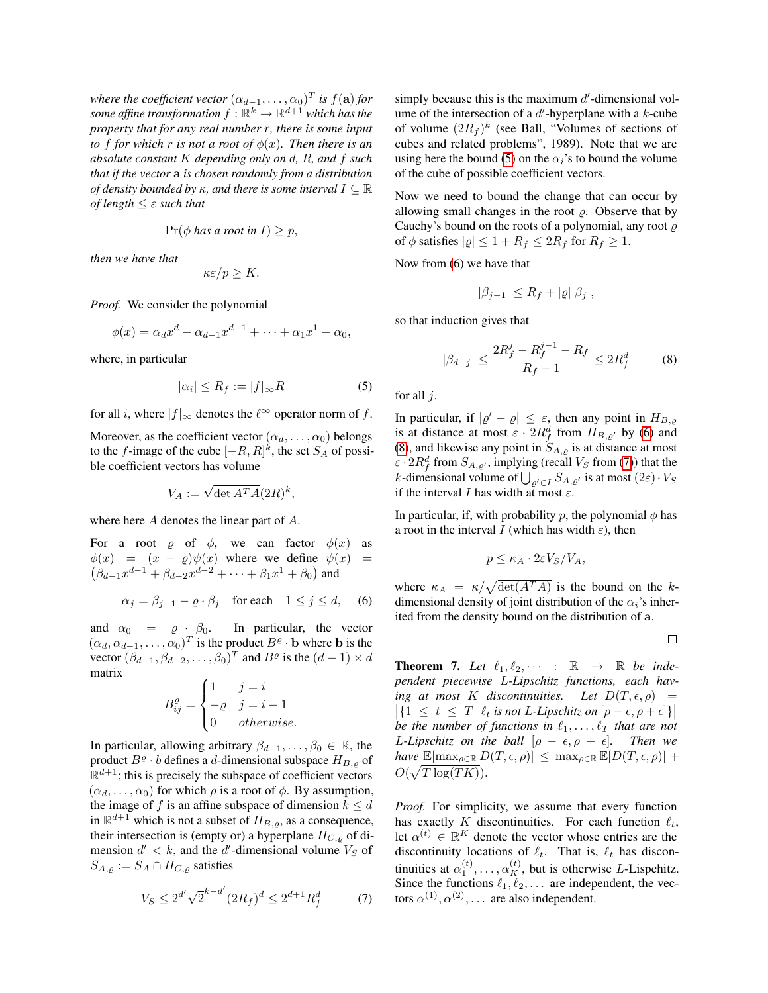where the coefficient vector  $(\alpha_{d-1}, \ldots, \alpha_0)^T$  is  $f(\mathbf{a})$  for some affine transformation  $f: \mathbb{R}^k \to \mathbb{R}^{d+1}$  which has the *property that for any real number* r*, there is some input to* f for which r is not a root of  $\phi(x)$ . Then there is an *absolute constant* K *depending only on* d*,* R*, and* f *such that if the vector* a *is chosen randomly from a distribution of density bounded by*  $\kappa$ *, and there is some interval*  $I \subseteq \mathbb{R}$ *of length* ≤ ε *such that*

$$
\Pr(\phi \text{ has a root in } I) \geq p,
$$

*then we have that*

$$
\kappa \varepsilon / p \geq K.
$$

*Proof.* We consider the polynomial

$$
\phi(x) = \alpha_d x^d + \alpha_{d-1} x^{d-1} + \dots + \alpha_1 x^1 + \alpha_0,
$$

where, in particular

<span id="page-14-0"></span>
$$
|\alpha_i| \le R_f := |f|_{\infty} R \tag{5}
$$

for all *i*, where  $|f|_{\infty}$  denotes the  $\ell^{\infty}$  operator norm of f.

Moreover, as the coefficient vector  $(\alpha_d, \dots, \alpha_0)$  belongs to the *f*-image of the cube  $[-R, R]^k$ , the set  $S_A$  of possible coefficient vectors has volume

$$
V_A := \sqrt{\det A^T A} (2R)^k,
$$

where here A denotes the linear part of A.

For a root  $\varrho$  of  $\phi$ , we can factor  $\phi(x)$  as  $\phi(x) = (x - \varrho)\psi(x)$  where we define  $\psi(x) =$  $(\beta_{d-1}x^{d-1} + \beta_{d-2}x^{d-2} + \cdots + \beta_1x^1 + \beta_0)$  and

<span id="page-14-1"></span>
$$
\alpha_j = \beta_{j-1} - \varrho \cdot \beta_j \quad \text{for each} \quad 1 \le j \le d,\tag{6}
$$

and  $\alpha_0 = \varrho \cdot \beta_0$ . In particular, the vector  $(\alpha_d, \alpha_{d-1}, \ldots, \alpha_0)^T$  is the product  $B^{\varrho} \cdot \mathbf{b}$  where **b** is the vector  $(\beta_{d-1}, \beta_{d-2}, \dots, \beta_0)^T$  and  $B^{\varrho}$  is the  $(d+1) \times d$ matrix

$$
B_{ij}^{\varrho} = \begin{cases} 1 & j = i \\ -\varrho & j = i + 1 \\ 0 & otherwise. \end{cases}
$$

In particular, allowing arbitrary  $\beta_{d-1}, \ldots, \beta_0 \in \mathbb{R}$ , the product  $B^{\varrho} \cdot b$  defines a d-dimensional subspace  $H_{B,\varrho}$  of  $\mathbb{R}^{d+1}$ ; this is precisely the subspace of coefficient vectors  $(\alpha_d, \ldots, \alpha_0)$  for which  $\rho$  is a root of  $\phi$ . By assumption, the image of f is an affine subspace of dimension  $k \leq d$ in  $\mathbb{R}^{d+1}$  which is not a subset of  $H_{B,\rho}$ , as a consequence, their intersection is (empty or) a hyperplane  $H_{C,\rho}$  of dimension  $d' < k$ , and the d'-dimensional volume  $V_S$  of  $S_{A,\varrho} := S_A \cap H_{C,\varrho}$  satisfies

<span id="page-14-3"></span>
$$
V_S \le 2^{d'} \sqrt{2}^{k-d'} (2R_f)^d \le 2^{d+1} R_f^d \tag{7}
$$

simply because this is the maximum  $d'$ -dimensional volume of the intersection of a  $d'$ -hyperplane with a  $k$ -cube of volume  $(2R_f)^k$  (see Ball, "Volumes of sections of cubes and related problems", 1989). Note that we are using here the bound [\(5\)](#page-14-0) on the  $\alpha_i$ 's to bound the volume of the cube of possible coefficient vectors.

Now we need to bound the change that can occur by allowing small changes in the root  $\rho$ . Observe that by Cauchy's bound on the roots of a polynomial, any root  $\rho$ of  $\phi$  satisfies  $|\varrho| \leq 1 + R_f \leq 2R_f$  for  $R_f \geq 1$ .

Now from [\(6\)](#page-14-1) we have that

$$
|\beta_{j-1}| \le R_f + |\varrho||\beta_j|,
$$

so that induction gives that

<span id="page-14-2"></span>
$$
|\beta_{d-j}| \le \frac{2R_f^j - R_f^{j-1} - R_f}{R_f - 1} \le 2R_f^d \tag{8}
$$

for all  $j$ .

In particular, if  $|\varrho' - \varrho| \leq \varepsilon$ , then any point in  $H_{B,\varrho}$ is at distance at most  $\varepsilon \cdot 2R_f^d$  from  $H_{B,e'}$  by [\(6\)](#page-14-1) and [\(8\)](#page-14-2), and likewise any point in  $S_{A,\rho}$  is at distance at most  $\varepsilon \cdot 2R_f^d$  from  $S_{A,\varrho'}$ , implying (recall  $V_S$  from [\(7\)](#page-14-3)) that the k-dimensional volume of  $\bigcup_{\varrho' \in I} S_{A,\varrho'}$  is at most  $(2\varepsilon) \cdot V_S$ if the interval I has width at most  $\varepsilon$ .

In particular, if, with probability p, the polynomial  $\phi$  has a root in the interval I (which has width  $\varepsilon$ ), then

$$
p \leq \kappa_A \cdot 2\varepsilon V_S/V_A,
$$

where  $\kappa_A = \kappa / \sqrt{\det(A^T A)}$  is the bound on the kdimensional density of joint distribution of the  $\alpha_i$ 's inherited from the density bound on the distribution of a.

$$
\Box
$$

**Theorem 7.** Let  $\ell_1, \ell_2, \cdots$  :  $\mathbb{R} \rightarrow \mathbb{R}$  be inde*pendent piecewise* L*-Lipschitz functions, each having at most* K *discontinuities.* Let  $D(T, \epsilon, \rho)$  =  $\left| \{ 1 \le t \le T \mid \ell_t \text{ is not } L\text{-Lipschitz on } [\rho - \epsilon, \rho + \epsilon] \} \right|$ *be the number of functions in*  $\ell_1, \ldots, \ell_T$  *that are not L*-Lipschitz on the ball  $[\rho - \epsilon, \rho + \epsilon]$ *. Then we have*  $\mathbb{E}[\max_{\rho \in \mathbb{R}} D(T, \epsilon, \rho)] \leq \max_{\rho \in \mathbb{R}} \mathbb{E}[D(T, \epsilon, \rho)] +$  $O(\sqrt{T \log(TK)})$ .

*Proof.* For simplicity, we assume that every function has exactly K discontinuities. For each function  $\ell_t$ , let  $\alpha^{(t)} \in \mathbb{R}^K$  denote the vector whose entries are the discontinuity locations of  $\ell_t$ . That is,  $\ell_t$  has discontinuities at  $\alpha_1^{(t)}, \dots, \alpha_K^{(t)}$ , but is otherwise L-Lispchitz. Since the functions  $\ell_1, \ell_2, \ldots$  are independent, the vectors  $\alpha^{(1)}, \alpha^{(2)}, \ldots$  are also independent.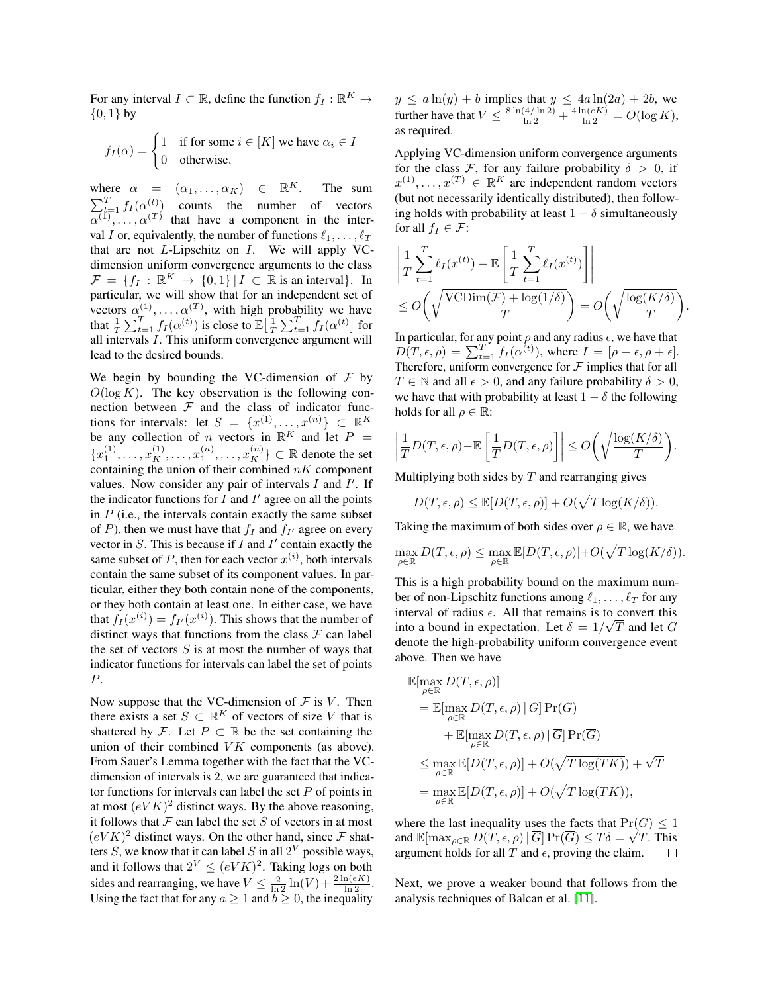For any interval  $I \subset \mathbb{R}$ , define the function  $f_I : \mathbb{R}^K \to$  $\{0, 1\}$  by

$$
f_I(\alpha) = \begin{cases} 1 & \text{if for some } i \in [K] \text{ we have } \alpha_i \in I \\ 0 & \text{otherwise,} \end{cases}
$$

where  $\alpha = (\alpha_1, \ldots, \alpha_K) \in \mathbb{R}^K$ . The sum  $\sum_{t=1}^{T} f_I(\alpha_{cm}^{(t)})$  counts the number of vectors  $\alpha^{(1)}, \ldots, \alpha^{(T)}$  that have a component in the interval I or, equivalently, the number of functions  $\ell_1, \ldots, \ell_T$ that are not  $L$ -Lipschitz on  $I$ . We will apply VCdimension uniform convergence arguments to the class  $\mathcal{F} = \{f_I : \mathbb{R}^K \to \{0,1\} | I \subset \mathbb{R} \text{ is an interval}\}.$  In particular, we will show that for an independent set of vectors  $\alpha^{(1)}, \ldots, \alpha^{(T)}$ , with high probability we have that  $\frac{1}{T} \sum_{t=1}^T f_I(\alpha^{(t)})$  is close to  $\mathbb{E}\big[\frac{1}{T} \sum_{t=1}^T f_I(\alpha^{(t)})\big]$  for all intervals I. This uniform convergence argument will lead to the desired bounds.

We begin by bounding the VC-dimension of  $\mathcal F$  by  $O(\log K)$ . The key observation is the following connection between  $F$  and the class of indicator functions for intervals: let  $S = \{x^{(1)}, \ldots, x^{(n)}\} \subset \mathbb{R}^K$ be any collection of *n* vectors in  $\mathbb{R}^K$  and let  $P =$  ${x_1^{(1)}, \ldots, x_K^{(1)}, \ldots, x_1^{(n)}, \ldots, x_K^{(n)}} \subset \mathbb{R}$  denote the set containing the union of their combined  $nK$  component values. Now consider any pair of intervals  $I$  and  $I'$ . If the indicator functions for  $I$  and  $I'$  agree on all the points in  $P$  (i.e., the intervals contain exactly the same subset of P), then we must have that  $f_I$  and  $f_{I'}$  agree on every vector in  $S$ . This is because if  $I$  and  $I'$  contain exactly the same subset of P, then for each vector  $x^{(i)}$ , both intervals contain the same subset of its component values. In particular, either they both contain none of the components, or they both contain at least one. In either case, we have that  $f_I(x^{(i)}) = f_{I'}(x^{(i)})$ . This shows that the number of distinct ways that functions from the class  $\mathcal F$  can label the set of vectors  $S$  is at most the number of ways that indicator functions for intervals can label the set of points P.

Now suppose that the VC-dimension of  $\mathcal F$  is  $V$ . Then there exists a set  $S \subset \mathbb{R}^K$  of vectors of size V that is shattered by F. Let  $P \subset \mathbb{R}$  be the set containing the union of their combined  $VK$  components (as above). From Sauer's Lemma together with the fact that the VCdimension of intervals is 2, we are guaranteed that indicator functions for intervals can label the set  $P$  of points in at most  $(eVK)^2$  distinct ways. By the above reasoning, it follows that  $F$  can label the set  $S$  of vectors in at most  $(eVK)^2$  distinct ways. On the other hand, since  $\mathcal F$  shatters S, we know that it can label S in all  $2^V$  possible ways, and it follows that  $2^V \le (eV)^2$ . Taking logs on both sides and rearranging, we have  $V \le \frac{2}{\ln 2} \ln(V) + \frac{2 \ln(eK)}{\ln 2}$ . Using the fact that for any  $a \ge 1$  and  $b \ge 0$ , the inequality

 $y \le a \ln(y) + b$  implies that  $y \le 4a \ln(2a) + 2b$ , we further have that  $V \n\t\leq \frac{8 \ln(4/\ln 2)}{\ln 2} + \frac{4 \ln(eK)}{\ln 2} = O(\log K)$ , as required.

Applying VC-dimension uniform convergence arguments for the class F, for any failure probability  $\delta > 0$ , if  $x^{(1)}, \ldots, x^{(T)} \in \mathbb{R}^K$  are independent random vectors (but not necessarily identically distributed), then following holds with probability at least  $1 - \delta$  simultaneously for all  $f_I \in \mathcal{F}$ :

$$
\left| \frac{1}{T} \sum_{t=1}^{T} \ell_I(x^{(t)}) - \mathbb{E} \left[ \frac{1}{T} \sum_{t=1}^{T} \ell_I(x^{(t)}) \right] \right|
$$
  
\n
$$
\leq O\left(\sqrt{\frac{\text{VCDim}(\mathcal{F}) + \log(1/\delta)}{T}}\right) = O\left(\sqrt{\frac{\log(K/\delta)}{T}}\right).
$$

In particular, for any point  $\rho$  and any radius  $\epsilon$ , we have that  $D(T, \epsilon, \rho) = \sum_{t=1}^{T} f_I(\alpha^{(t)}),$  where  $I = [\rho - \epsilon, \rho + \epsilon].$ Therefore, uniform convergence for  $\mathcal F$  implies that for all  $T \in \mathbb{N}$  and all  $\epsilon > 0$ , and any failure probability  $\delta > 0$ , we have that with probability at least  $1 - \delta$  the following holds for all  $\rho \in \mathbb{R}$ :

$$
\left|\frac{1}{T}D(T,\epsilon,\rho)-\mathbb{E}\left[\frac{1}{T}D(T,\epsilon,\rho)\right]\right|\leq O\bigg(\sqrt{\frac{\log(K/\delta)}{T}}\bigg).
$$

Multiplying both sides by  $T$  and rearranging gives

$$
D(T,\epsilon,\rho) \leq \mathbb{E}[D(T,\epsilon,\rho)] + O(\sqrt{T \log(K/\delta)}).
$$

Taking the maximum of both sides over  $\rho \in \mathbb{R}$ , we have

$$
\max_{\rho \in \mathbb{R}} D(T, \epsilon, \rho) \le \max_{\rho \in \mathbb{R}} \mathbb{E}[D(T, \epsilon, \rho)] + O(\sqrt{T \log(K/\delta)}).
$$

This is a high probability bound on the maximum number of non-Lipschitz functions among  $\ell_1, \ldots, \ell_T$  for any interval of radius  $\epsilon$ . All that remains is to convert this into a bound in expectation. Let  $\delta = 1/\sqrt{T}$  and let G denote the high-probability uniform convergence event above. Then we have

$$
\mathbb{E}[\max_{\rho \in \mathbb{R}} D(T, \epsilon, \rho)]
$$
\n
$$
= \mathbb{E}[\max_{\rho \in \mathbb{R}} D(T, \epsilon, \rho) | G] Pr(G)
$$
\n
$$
+ \mathbb{E}[\max_{\rho \in \mathbb{R}} D(T, \epsilon, \rho) | \overline{G}] Pr(\overline{G})
$$
\n
$$
\leq \max_{\rho \in \mathbb{R}} \mathbb{E}[D(T, \epsilon, \rho)] + O(\sqrt{T \log(TK)}) + \sqrt{T}
$$
\n
$$
= \max_{\rho \in \mathbb{R}} \mathbb{E}[D(T, \epsilon, \rho)] + O(\sqrt{T \log(TK)}),
$$

where the last inequality uses the facts that  $Pr(\underline{G}) \leq 1$ and  $\mathbb{E}[\max_{\rho \in \mathbb{R}} D(T,\epsilon,\rho) \, | \, \overline{G}] \Pr(\overline{G}) \leq T \delta = \sqrt{T}.$  This argument holds for all T and  $\epsilon$ , proving the claim.  $\Box$ 

<span id="page-15-0"></span>Next, we prove a weaker bound that follows from the analysis techniques of Balcan et al. [\[11\]](#page-9-4).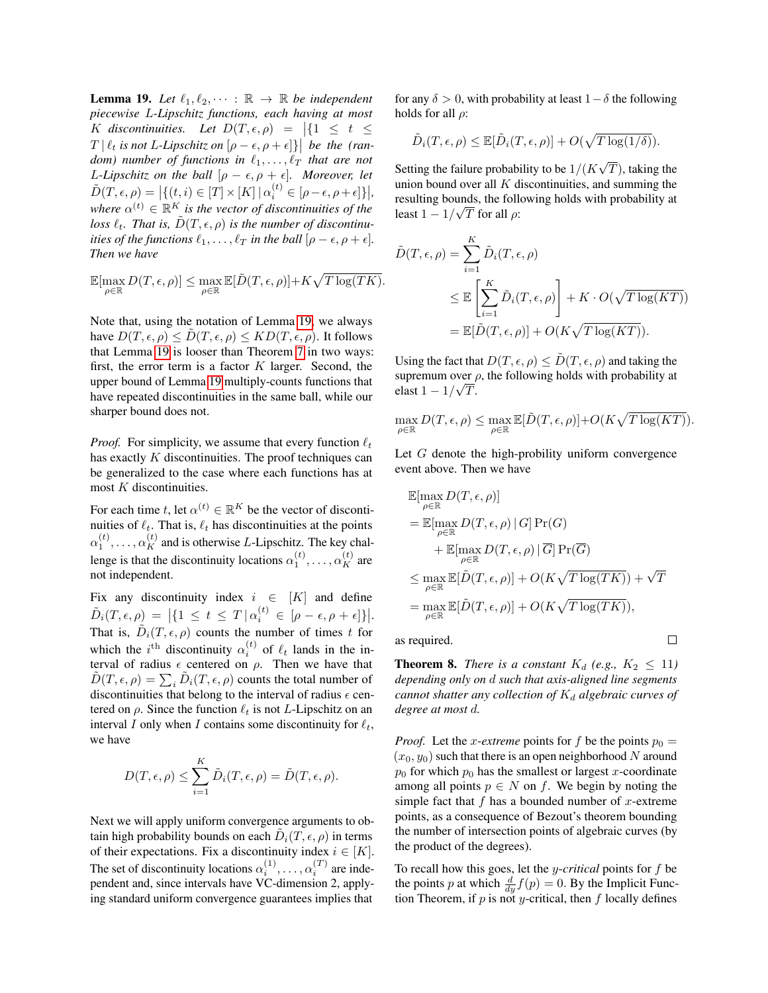**Lemma 19.** Let  $\ell_1, \ell_2, \cdots : \mathbb{R} \to \mathbb{R}$  be independent *piecewise* L*-Lipschitz functions, each having at most*  $K$  *discontinuities.* Let  $D(T, \epsilon, \rho) = |\{1 \leq t \leq \epsilon\}|$  $T \mid \ell_t$  is not *L*-Lipschitz on  $[\rho - \epsilon, \rho + \epsilon]$ } be the (ran*dom)* number of functions in  $\ell_1, \ldots, \ell_T$  that are not *L*-Lipschitz on the ball  $[\rho - \epsilon, \rho + \epsilon]$ *. Moreover, let*  $\tilde{D}(T,\epsilon,\rho) = \left| \{ (t,i) \in [T] \times [K] \mid \alpha_i^{(t)} \in [\rho-\epsilon,\rho+\epsilon] \} \right|,$ where  $\alpha^{(t)} \in \mathbb{R}^K$  is the vector of discontinuities of the loss  $\ell_t$ . That is,  $\tilde{D}(T, \epsilon, \rho)$  *is the number of discontinuities of the functions*  $\ell_1, \ldots, \ell_T$  *in the ball*  $[\rho - \epsilon, \rho + \epsilon]$ *. Then we have*

$$
\mathbb{E}[\max_{\rho \in \mathbb{R}} D(T,\epsilon,\rho)] \leq \max_{\rho \in \mathbb{R}} \mathbb{E}[\tilde{D}(T,\epsilon,\rho)] + K\sqrt{T \log(TK)}.
$$

Note that, using the notation of Lemma [19,](#page-15-0) we always have  $D(T, \epsilon, \rho) \leq D(T, \epsilon, \rho) \leq K D(T, \epsilon, \rho)$ . It follows that Lemma [19](#page-15-0) is looser than Theorem [7](#page-5-2) in two ways: first, the error term is a factor  $K$  larger. Second, the upper bound of Lemma [19](#page-15-0) multiply-counts functions that have repeated discontinuities in the same ball, while our sharper bound does not.

*Proof.* For simplicity, we assume that every function  $\ell_t$ has exactly K discontinuities. The proof techniques can be generalized to the case where each functions has at most  $K$  discontinuities.

For each time t, let  $\alpha^{(t)} \in \mathbb{R}^K$  be the vector of discontinuities of  $\ell_t$ . That is,  $\ell_t$  has discontinuities at the points  $\alpha_1^{(t)}, \ldots, \alpha_K^{(t)}$  and is otherwise L-Lipschitz. The key challenge is that the discontinuity locations  $\alpha_1^{(t)}, \dots, \alpha_K^{(t)}$  are not independent.

Fix any discontinuity index  $i \in [K]$  and define  $\tilde{D}_i(T, \epsilon, \rho) = |\{1 \le t \le T | \alpha_i^{(t)} \in [\rho - \epsilon, \rho + \epsilon]\}|.$ That is,  $\tilde{D}_i(T, \epsilon, \rho)$  counts the number of times t for which the *i*<sup>th</sup> discontinuity  $\alpha_i^{(t)}$  of  $\ell_t$  lands in the interval of radius  $\epsilon$  centered on  $\rho$ . Then we have that  $\tilde{D}(T, \epsilon, \rho) = \sum_i \tilde{D}_i(T, \epsilon, \rho)$  counts the total number of discontinuities that belong to the interval of radius  $\epsilon$  centered on  $\rho$ . Since the function  $\ell_t$  is not L-Lipschitz on an interval I only when I contains some discontinuity for  $\ell_t$ , we have

$$
D(T,\epsilon,\rho) \leq \sum_{i=1}^{K} \tilde{D}_i(T,\epsilon,\rho) = \tilde{D}(T,\epsilon,\rho).
$$

Next we will apply uniform convergence arguments to obtain high probability bounds on each  $\tilde{D}_i(T, \epsilon, \rho)$  in terms of their expectations. Fix a discontinuity index  $i \in [K]$ . The set of discontinuity locations  $\alpha_i^{(1)}, \dots, \alpha_i^{(T)}$  are independent and, since intervals have VC-dimension 2, applying standard uniform convergence guarantees implies that

for any  $\delta > 0$ , with probability at least  $1 - \delta$  the following holds for all  $\rho$ :

$$
\tilde{D}_i(T,\epsilon,\rho) \leq \mathbb{E}[\tilde{D}_i(T,\epsilon,\rho)] + O(\sqrt{T \log(1/\delta)}).
$$

Setting the failure probability to be  $1/(K)$ √  $T$ ), taking the union bound over all  $K$  discontinuities, and summing the resulting bounds, the following holds with probability at √ least  $1 - 1/\sqrt{T}$  for all  $\rho$ :

$$
\tilde{D}(T,\epsilon,\rho) = \sum_{i=1}^{K} \tilde{D}_i(T,\epsilon,\rho)
$$
\n
$$
\leq \mathbb{E}\left[\sum_{i=1}^{K} \tilde{D}_i(T,\epsilon,\rho)\right] + K \cdot O(\sqrt{T \log(KT)})
$$
\n
$$
= \mathbb{E}[\tilde{D}(T,\epsilon,\rho)] + O(K\sqrt{T \log(KT)}).
$$

Using the fact that  $D(T, \epsilon, \rho) \leq \tilde{D}(T, \epsilon, \rho)$  and taking the supremum over  $\rho$ , the following holds with probability at elast  $1 - 1/\sqrt{T}$ .

$$
\max_{\rho \in \mathbb{R}} D(T, \epsilon, \rho) \leq \max_{\rho \in \mathbb{R}} \mathbb{E}[\tilde{D}(T, \epsilon, \rho)] + O(K\sqrt{T \log (KT)}).
$$

Let G denote the high-probility uniform convergence event above. Then we have

$$
\mathbb{E}[\max_{\rho \in \mathbb{R}} D(T, \epsilon, \rho)]
$$
\n
$$
= \mathbb{E}[\max_{\rho \in \mathbb{R}} D(T, \epsilon, \rho) | G] Pr(G)
$$
\n
$$
+ \mathbb{E}[\max_{\rho \in \mathbb{R}} D(T, \epsilon, \rho) | \overline{G}] Pr(\overline{G})
$$
\n
$$
\leq \max_{\rho \in \mathbb{R}} \mathbb{E}[\tilde{D}(T, \epsilon, \rho)] + O(K\sqrt{T \log(TK)}) + \sqrt{T}
$$
\n
$$
= \max_{\rho \in \mathbb{R}} \mathbb{E}[\tilde{D}(T, \epsilon, \rho)] + O(K\sqrt{T \log(TK)}),
$$
\nrequired.

as required.

**Theorem 8.** *There is a constant*  $K_d$  (e.g.,  $K_2 \leq 11$ ) *depending only on* d *such that axis-aligned line segments cannot shatter any collection of*  $K_d$  *algebraic curves of degree at most* d*.*

*Proof.* Let the x-*extreme* points for f be the points  $p_0 =$  $(x_0, y_0)$  such that there is an open neighborhood N around  $p_0$  for which  $p_0$  has the smallest or largest x-coordinate among all points  $p \in N$  on f. We begin by noting the simple fact that  $f$  has a bounded number of  $x$ -extreme points, as a consequence of Bezout's theorem bounding the number of intersection points of algebraic curves (by the product of the degrees).

To recall how this goes, let the y-*critical* points for f be the points p at which  $\frac{d}{dy} f(p) = 0$ . By the Implicit Function Theorem, if  $p$  is not y-critical, then  $f$  locally defines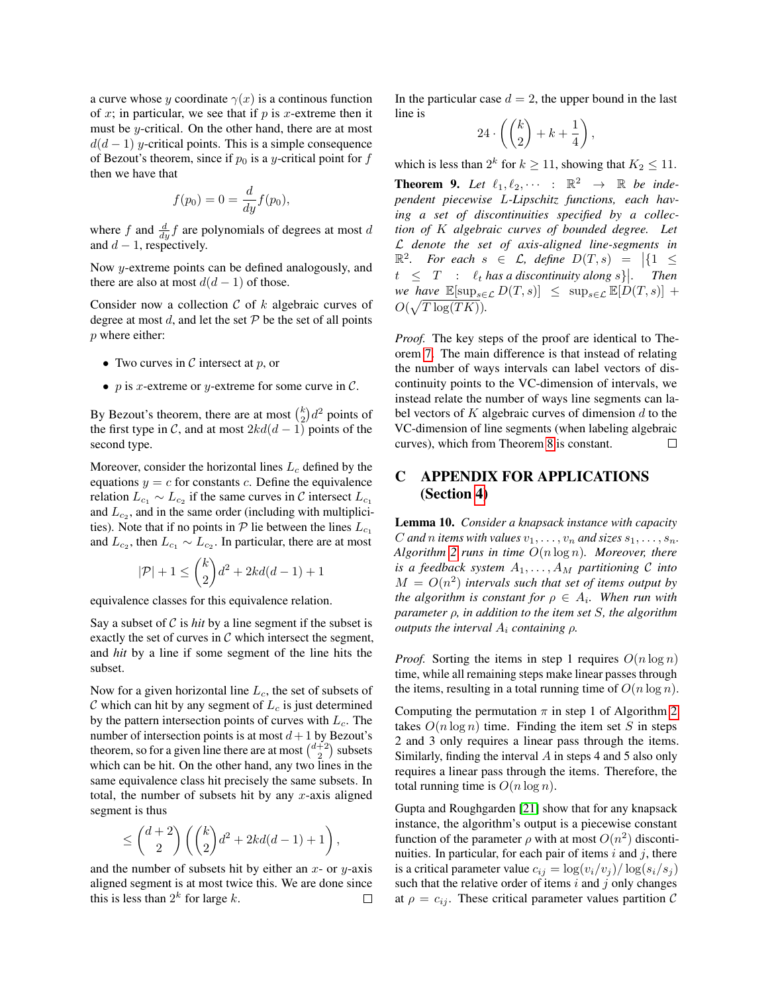a curve whose y coordinate  $\gamma(x)$  is a continuous function of  $x$ ; in particular, we see that if  $p$  is  $x$ -extreme then it must be y-critical. On the other hand, there are at most  $d(d-1)$  y-critical points. This is a simple consequence of Bezout's theorem, since if  $p_0$  is a y-critical point for f then we have that

$$
f(p_0) = 0 = \frac{d}{dy} f(p_0),
$$

where f and  $\frac{d}{dy}f$  are polynomials of degrees at most d and  $d - 1$ , respectively.

Now y-extreme points can be defined analogously, and there are also at most  $d(d-1)$  of those.

Consider now a collection  $C$  of  $k$  algebraic curves of degree at most d, and let the set  $P$  be the set of all points p where either:

- Two curves in  $C$  intersect at  $p$ , or
- p is x-extreme or y-extreme for some curve in  $\mathcal{C}$ .

By Bezout's theorem, there are at most  $\binom{k}{2}d^2$  points of the first type in C, and at most  $2kd(d-1)$  points of the second type.

Moreover, consider the horizontal lines  $L_c$  defined by the equations  $y = c$  for constants c. Define the equivalence relation  $L_{c_1} \sim L_{c_2}$  if the same curves in C intersect  $L_{c_1}$ and  $L_{c_2}$ , and in the same order (including with multiplicities). Note that if no points in  $P$  lie between the lines  $L_{c_1}$ and  $L_{c_2}$ , then  $L_{c_1} \sim L_{c_2}$ . In particular, there are at most

$$
|\mathcal{P}| + 1 \le \binom{k}{2}d^2 + 2kd(d-1) + 1
$$

equivalence classes for this equivalence relation.

Say a subset of  $C$  is *hit* by a line segment if the subset is exactly the set of curves in  $\mathcal C$  which intersect the segment, and *hit* by a line if some segment of the line hits the subset.

Now for a given horizontal line  $L_c$ , the set of subsets of  $C$  which can hit by any segment of  $L_c$  is just determined by the pattern intersection points of curves with  $L_c$ . The number of intersection points is at most  $d+1$  by Bezout's theorem, so for a given line there are at most  $\binom{d+2}{2}$  subsets which can be hit. On the other hand, any two lines in the same equivalence class hit precisely the same subsets. In total, the number of subsets hit by any  $x$ -axis aligned segment is thus

$$
\le \binom{d+2}{2}\left(\binom{k}{2}d^2+2kd(d-1)+1\right),
$$

and the number of subsets hit by either an  $x$ - or  $y$ -axis aligned segment is at most twice this. We are done since this is less than  $2^k$  for large k.  $\Box$  In the particular case  $d = 2$ , the upper bound in the last line is

$$
24\cdot \left(\binom{k}{2} + k + \frac{1}{4}\right),
$$

which is less than  $2^k$  for  $k \ge 11$ , showing that  $K_2 \le 11$ .

**Theorem 9.** Let  $\ell_1, \ell_2, \cdots$  :  $\mathbb{R}^2 \rightarrow \mathbb{R}$  be inde*pendent piecewise* L*-Lipschitz functions, each having a set of discontinuities specified by a collection of* K *algebraic curves of bounded degree. Let* L *denote the set of axis-aligned line-segments in*  $\mathbb{R}^2$ *. For each*  $s \in \mathcal{L}$ *, define*  $D(T, s) = |\{1 \leq$  $t \leq T$  :  $\ell_t$  has a discontinuity along s). Then *we have*  $\mathbb{E}[\sup_{s\in\mathcal{L}} D(T,s)] \leq \sup_{s\in\mathcal{L}} \mathbb{E}[D(T,s)] +$  $O(\sqrt{T \log(TK)})$ .

*Proof.* The key steps of the proof are identical to Theorem [7.](#page-5-2) The main difference is that instead of relating the number of ways intervals can label vectors of discontinuity points to the VC-dimension of intervals, we instead relate the number of ways line segments can label vectors of  $K$  algebraic curves of dimension  $d$  to the VC-dimension of line segments (when labeling algebraic curves), which from Theorem [8](#page-5-3) is constant.  $\Box$ 

## <span id="page-17-0"></span>C APPENDIX FOR APPLICATIONS (Section [4\)](#page-5-0)

Lemma 10. *Consider a knapsack instance with capacity* C and *n* items with values  $v_1, \ldots, v_n$  and sizes  $s_1, \ldots, s_n$ . *Algorithm [2](#page-6-1) runs in time* O(n log n)*. Moreover, there is a feedback system*  $A_1, \ldots, A_M$  *partitioning*  $C$  *into*  $M = O(n^2)$  intervals such that set of items output by *the algorithm is constant for*  $\rho \in A_i$ *. When run with parameter* ρ*, in addition to the item set* S*, the algorithm outputs the interval*  $A_i$  *containing*  $\rho$ *.* 

*Proof.* Sorting the items in step 1 requires  $O(n \log n)$ time, while all remaining steps make linear passes through the items, resulting in a total running time of  $O(n \log n)$ .

Computing the permutation  $\pi$  in step 1 of Algorithm [2](#page-6-1) takes  $O(n \log n)$  time. Finding the item set S in steps 2 and 3 only requires a linear pass through the items. Similarly, finding the interval  $A$  in steps 4 and 5 also only requires a linear pass through the items. Therefore, the total running time is  $O(n \log n)$ .

Gupta and Roughgarden [\[21\]](#page-9-5) show that for any knapsack instance, the algorithm's output is a piecewise constant function of the parameter  $\rho$  with at most  $O(n^2)$  discontinuities. In particular, for each pair of items  $i$  and  $j$ , there is a critical parameter value  $c_{ij} = \log(v_i/v_j) / \log(s_i/s_j)$ such that the relative order of items  $i$  and  $j$  only changes at  $\rho = c_{ij}$ . These critical parameter values partition C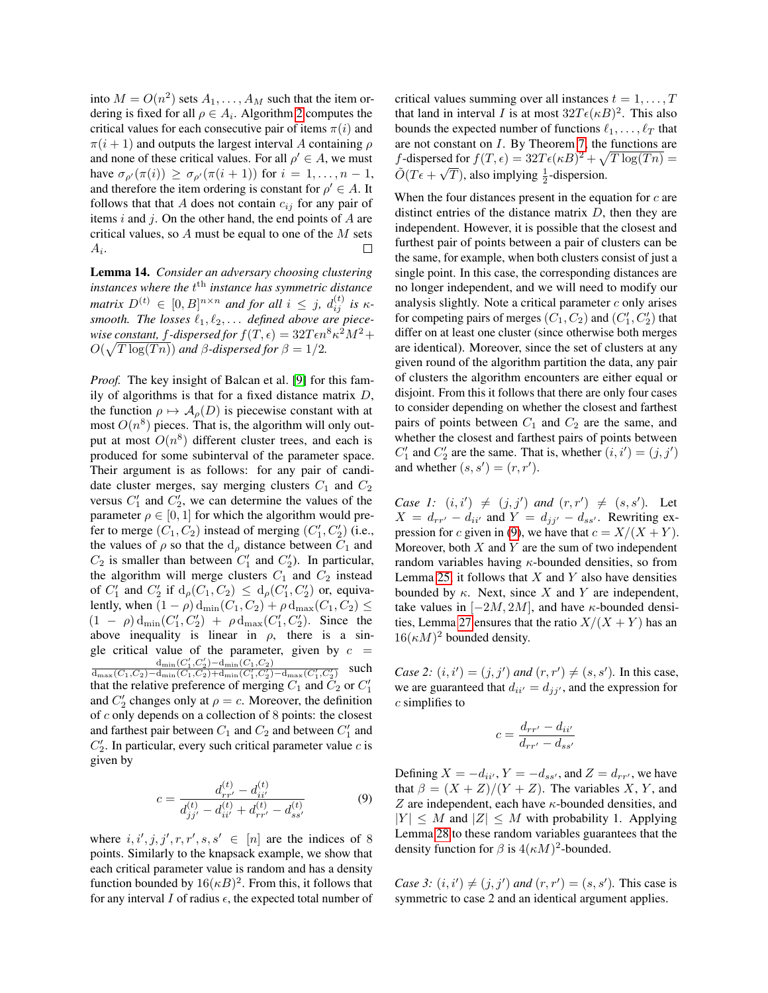into  $M = O(n^2)$  sets  $A_1, \ldots, A_M$  such that the item ordering is fixed for all  $\rho \in A_i$ . Algorithm [2](#page-6-1) computes the critical values for each consecutive pair of items  $\pi(i)$  and  $\pi(i+1)$  and outputs the largest interval A containing  $\rho$ and none of these critical values. For all  $\rho' \in A$ , we must have  $\sigma_{\rho}(\pi(i)) \geq \sigma_{\rho}(\pi(i+1))$  for  $i = 1, \ldots, n-1$ , and therefore the item ordering is constant for  $\rho' \in A$ . It follows that that A does not contain  $c_{ij}$  for any pair of items  $i$  and  $j$ . On the other hand, the end points of  $A$  are critical values, so  $A$  must be equal to one of the  $M$  sets  $A_i.$  $\Box$ 

Lemma 14. *Consider an adversary choosing clustering instances where the* t th *instance has symmetric distance*  $\textit{matrix} \ D^{(t)} \ \in \ [0,B]^{n \times n} \ \textit{and} \ \textit{for all} \ i \ \leq \ j, \ d^{(t)}_{ij} \ \textit{is} \ \kappa$ smooth. The losses  $\ell_1, \ell_2, \ldots$  defined above are piecewise constant, f-dispersed for  $f(T, \epsilon) = 32T\epsilon n^8 \kappa^2 M^2 + 1$  $O(\sqrt{T \log(Tn)})$  and  $\beta$ -dispersed for  $\beta = 1/2$ .

*Proof.* The key insight of Balcan et al. [\[9\]](#page-9-7) for this family of algorithms is that for a fixed distance matrix  $D$ , the function  $\rho \mapsto A_o(D)$  is piecewise constant with at most  $O(n^8)$  pieces. That is, the algorithm will only output at most  $O(n^8)$  different cluster trees, and each is produced for some subinterval of the parameter space. Their argument is as follows: for any pair of candidate cluster merges, say merging clusters  $C_1$  and  $C_2$ versus  $C_1'$  and  $C_2'$ , we can determine the values of the parameter  $\rho \in [0, 1]$  for which the algorithm would prefer to merge  $(C_1, C_2)$  instead of merging  $(C'_1, C'_2)$  (i.e., the values of  $\rho$  so that the  $d_{\rho}$  distance between  $C_1$  and  $C_2$  is smaller than between  $C'_1$  and  $C'_2$ ). In particular, the algorithm will merge clusters  $C_1$  and  $C_2$  instead of  $C'_1$  and  $C'_2$  if  $d_\rho(C_1, C_2) \leq d_\rho(C'_1, C'_2)$  or, equivalently, when  $(1 - \rho) d_{\min}(C_1, C_2) + \rho d_{\max}(C_1, C_2) \le$  $(1 - \rho) d_{\min}(C'_1, C'_2) + \rho d_{\max}(C'_1, C'_2)$ . Since the above inequality is linear in  $\rho$ , there is a single critical value of the parameter, given by  $c =$  $\frac{\mathrm{d}_{\mathrm{min}}(C'_1,C'_2)-\mathrm{d}_{\mathrm{min}}(C_1,C_2)}{\mathrm{d}_{\mathrm{max}}(C_1,C_2)-\mathrm{d}_{\mathrm{min}}(C_1,C'_2)+\mathrm{d}_{\mathrm{min}}(C'_1,C'_2)-\mathrm{d}_{\mathrm{max}}(C'_1,C'_2)}$  such that the relative preference of merging  $C_1$  and  $\tilde{C}_2$  or  $C_1'$ and  $C'_2$  changes only at  $\rho = c$ . Moreover, the definition of c only depends on a collection of 8 points: the closest and farthest pair between  $C_1$  and  $C_2$  and between  $C'_1$  and  $C_2'$ . In particular, every such critical parameter value  $c$  is given by

<span id="page-18-0"></span>
$$
c = \frac{d_{rr'}^{(t)} - d_{ii'}^{(t)}}{d_{jj'}^{(t)} - d_{ii'}^{(t)} + d_{rr'}^{(t)} - d_{ss'}^{(t)}}
$$
(9)

where  $i, i', j, j', r, r', s, s' \in [n]$  are the indices of 8 points. Similarly to the knapsack example, we show that each critical parameter value is random and has a density function bounded by  $16(\kappa B)^2$ . From this, it follows that for any interval I of radius  $\epsilon$ , the expected total number of critical values summing over all instances  $t = 1, \ldots, T$ that land in interval *I* is at most  $32T\epsilon(\kappa B)^2$ . This also bounds the expected number of functions  $\ell_1, \ldots, \ell_T$  that are not constant on I. By Theorem [7,](#page-5-2) the functions are f-dispersed for  $f(T, \epsilon) = 32T\epsilon(\kappa B)^2 + \sqrt{T \log(Tn)} =$  $\tilde{O}(T\epsilon + \sqrt{T})$ , also implying  $\frac{1}{2}$ -dispersion.

When the four distances present in the equation for  $c$  are distinct entries of the distance matrix  $D$ , then they are independent. However, it is possible that the closest and furthest pair of points between a pair of clusters can be the same, for example, when both clusters consist of just a single point. In this case, the corresponding distances are no longer independent, and we will need to modify our analysis slightly. Note a critical parameter  $c$  only arises for competing pairs of merges  $(C_1, C_2)$  and  $(C'_1, C'_2)$  that differ on at least one cluster (since otherwise both merges are identical). Moreover, since the set of clusters at any given round of the algorithm partition the data, any pair of clusters the algorithm encounters are either equal or disjoint. From this it follows that there are only four cases to consider depending on whether the closest and farthest pairs of points between  $C_1$  and  $C_2$  are the same, and whether the closest and farthest pairs of points between  $C'_1$  and  $C'_2$  are the same. That is, whether  $(i, i') = (j, j')$ and whether  $(s, s') = (r, r')$ .

*Case 1:*  $(i, i') \neq (j, j')$  *and*  $(r, r') \neq (s, s')$ *.* Let  $X = d_{rr'} - d_{ii'}$  and  $Y = d_{jj'} - d_{ss'}$ . Rewriting ex-pression for c given in [\(9\)](#page-18-0), we have that  $c = X/(X + Y)$ . Moreover, both  $X$  and  $Y$  are the sum of two independent random variables having  $\kappa$ -bounded densities, so from Lemma [25,](#page-21-0) it follows that  $X$  and  $Y$  also have densities bounded by  $\kappa$ . Next, since X and Y are independent, take values in  $[-2M, 2M]$ , and have  $\kappa$ -bounded densi-ties, Lemma [27](#page-21-1) ensures that the ratio  $X/(X + Y)$  has an  $16(\kappa M)^2$  bounded density.

*Case 2:*  $(i, i') = (j, j')$  *and*  $(r, r') \neq (s, s')$ *.* In this case, we are guaranteed that  $d_{ii'} = d_{jj'}$ , and the expression for c simplifies to

$$
c = \frac{d_{rr'} - d_{ii'}}{d_{rr'} - d_{ss'}}
$$

Defining  $X = -d_{ii'}$ ,  $Y = -d_{ss'}$ , and  $Z = d_{rr'}$ , we have that  $\beta = (X + Z)/(Y + Z)$ . The variables X, Y, and Z are independent, each have  $\kappa$ -bounded densities, and  $|Y| \leq M$  and  $|Z| \leq M$  with probability 1. Applying Lemma [28](#page-22-0) to these random variables guarantees that the density function for  $\beta$  is  $4(\kappa M)^2$ -bounded.

*Case 3:*  $(i, i') \neq (j, j')$  *and*  $(r, r') = (s, s')$ *.* This case is symmetric to case 2 and an identical argument applies.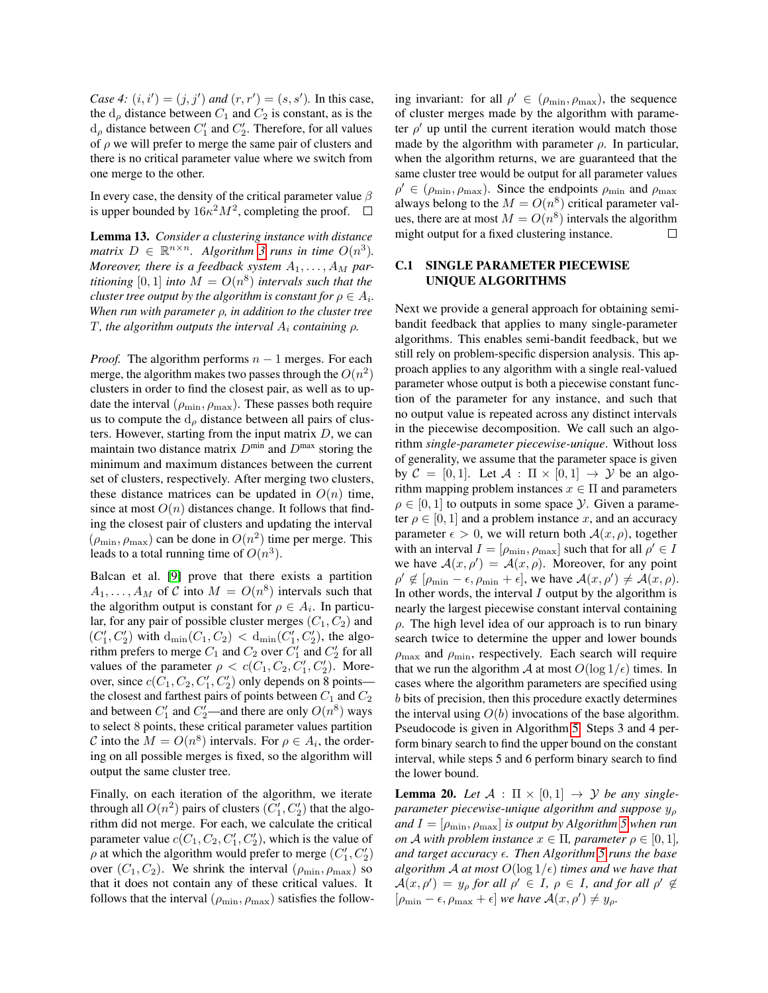*Case 4:*  $(i, i') = (j, j')$  *and*  $(r, r') = (s, s')$ *.* In this case, the  $d_{\rho}$  distance between  $C_1$  and  $C_2$  is constant, as is the  $d_{\rho}$  distance between  $C_1'$  and  $C_2'$ . Therefore, for all values of  $\rho$  we will prefer to merge the same pair of clusters and there is no critical parameter value where we switch from one merge to the other.

In every case, the density of the critical parameter value  $\beta$ is upper bounded by  $16\kappa^2 M^2$ , completing the proof.  $\Box$ 

Lemma 13. *Consider a clustering instance with distance matrix*  $D \in \mathbb{R}^{n \times n}$ *. Algorithm [3](#page-7-0) runs in time*  $O(n^3)$ *. Moreover, there is a feedback system*  $A_1, \ldots, A_M$  par*titioning* [0, 1] *into*  $M = O(n^8)$  *intervals such that the cluster tree output by the algorithm is constant for*  $\rho \in A_i$ . *When run with parameter* ρ*, in addition to the cluster tree* T*, the algorithm outputs the interval* A<sup>i</sup> *containing* ρ*.*

*Proof.* The algorithm performs  $n - 1$  merges. For each merge, the algorithm makes two passes through the  $O(n^2)$ clusters in order to find the closest pair, as well as to update the interval  $(\rho_{\min}, \rho_{\max})$ . These passes both require us to compute the  $d_{\rho}$  distance between all pairs of clusters. However, starting from the input matrix  $D$ , we can maintain two distance matrix  $D^{\min}$  and  $D^{\max}$  storing the minimum and maximum distances between the current set of clusters, respectively. After merging two clusters, these distance matrices can be updated in  $O(n)$  time, since at most  $O(n)$  distances change. It follows that finding the closest pair of clusters and updating the interval  $(\rho_{\min}, \rho_{\max})$  can be done in  $O(n^2)$  time per merge. This leads to a total running time of  $O(n^3)$ .

Balcan et al. [\[9\]](#page-9-7) prove that there exists a partition  $A_1, \ldots, A_M$  of C into  $M = O(n^8)$  intervals such that the algorithm output is constant for  $\rho \in A_i$ . In particular, for any pair of possible cluster merges  $(C_1, C_2)$  and  $(C'_1, C'_2)$  with  $d_{\min}(C_1, C_2) < d_{\min}(C'_1, C'_2)$ , the algorithm prefers to merge  $C_1$  and  $C_2$  over  $C'_1$  and  $C'_2$  for all values of the parameter  $\rho < c(C_1, C_2, C'_1, C'_2)$ . Moreover, since  $c(C_1, C_2, C'_1, C'_2)$  only depends on 8 points the closest and farthest pairs of points between  $C_1$  and  $C_2$ and between  $C'_1$  and  $C'_2$ —and there are only  $O(n^8)$  ways to select 8 points, these critical parameter values partition C into the  $M = O(n^8)$  intervals. For  $\rho \in A_i$ , the ordering on all possible merges is fixed, so the algorithm will output the same cluster tree.

Finally, on each iteration of the algorithm, we iterate through all  $O(n^2)$  pairs of clusters  $(C'_1, C'_2)$  that the algorithm did not merge. For each, we calculate the critical parameter value  $c(C_1, C_2, C'_1, C'_2)$ , which is the value of  $\rho$  at which the algorithm would prefer to merge  $(C'_1, C'_2)$ over  $(C_1, C_2)$ . We shrink the interval  $(\rho_{\min}, \rho_{\max})$  so that it does not contain any of these critical values. It follows that the interval  $(\rho_{\min}, \rho_{\max})$  satisfies the follow-

ing invariant: for all  $\rho' \in (\rho_{\min}, \rho_{\max})$ , the sequence of cluster merges made by the algorithm with parameter  $\rho'$  up until the current iteration would match those made by the algorithm with parameter  $\rho$ . In particular, when the algorithm returns, we are guaranteed that the same cluster tree would be output for all parameter values  $\rho' \in (\rho_{\min}, \rho_{\max})$ . Since the endpoints  $\rho_{\min}$  and  $\rho_{\max}$ always belong to the  $M = O(n^8)$  critical parameter values, there are at most  $M = O(n^8)$  intervals the algorithm might output for a fixed clustering instance.  $\Box$ 

### <span id="page-19-0"></span>C.1 SINGLE PARAMETER PIECEWISE UNIQUE ALGORITHMS

Next we provide a general approach for obtaining semibandit feedback that applies to many single-parameter algorithms. This enables semi-bandit feedback, but we still rely on problem-specific dispersion analysis. This approach applies to any algorithm with a single real-valued parameter whose output is both a piecewise constant function of the parameter for any instance, and such that no output value is repeated across any distinct intervals in the piecewise decomposition. We call such an algorithm *single-parameter piecewise-unique*. Without loss of generality, we assume that the parameter space is given by  $C = [0, 1]$ . Let  $A : \Pi \times [0, 1] \rightarrow \mathcal{Y}$  be an algorithm mapping problem instances  $x \in \Pi$  and parameters  $\rho \in [0, 1]$  to outputs in some space *y*. Given a parameter  $\rho \in [0, 1]$  and a problem instance x, and an accuracy parameter  $\epsilon > 0$ , we will return both  $\mathcal{A}(x, \rho)$ , together with an interval  $I = [\rho_{\min}, \rho_{\max}]$  such that for all  $\rho' \in I$ we have  $\mathcal{A}(x, \rho') = \mathcal{A}(x, \rho)$ . Moreover, for any point  $\rho' \notin [\rho_{\min} - \epsilon, \rho_{\min} + \epsilon],$  we have  $\mathcal{A}(x, \rho') \neq \mathcal{A}(x, \rho).$ In other words, the interval  $I$  output by the algorithm is nearly the largest piecewise constant interval containing  $\rho$ . The high level idea of our approach is to run binary search twice to determine the upper and lower bounds  $\rho_{\text{max}}$  and  $\rho_{\text{min}}$ , respectively. Each search will require that we run the algorithm A at most  $O(\log 1/\epsilon)$  times. In cases where the algorithm parameters are specified using b bits of precision, then this procedure exactly determines the interval using  $O(b)$  invocations of the base algorithm. Pseudocode is given in Algorithm [5.](#page-20-1) Steps 3 and 4 perform binary search to find the upper bound on the constant interval, while steps 5 and 6 perform binary search to find the lower bound.

**Lemma 20.** Let  $A : \Pi \times [0,1] \rightarrow \mathcal{Y}$  be any single*parameter piecewise-unique algorithm and suppose*  $y<sub>o</sub>$ *and*  $I = [\rho_{\min}, \rho_{\max}]$  *is output by Algorithm* [5](#page-20-1) *when run on A with problem instance*  $x \in \Pi$ *, parameter*  $\rho \in [0, 1]$ *, and target accuracy . Then Algorithm [5](#page-20-1) runs the base algorithm*  $A$  *at most*  $O(\log 1/\epsilon)$  *times and we have that*  $\mathcal{A}(x,\rho') = y_\rho$  for all  $\rho' \in I$ ,  $\rho \in I$ , and for all  $\rho' \notin$  $[\rho_{\min} - \epsilon, \rho_{\max} + \epsilon]$  *we have*  $\mathcal{A}(x, \rho') \neq y_{\rho}$ .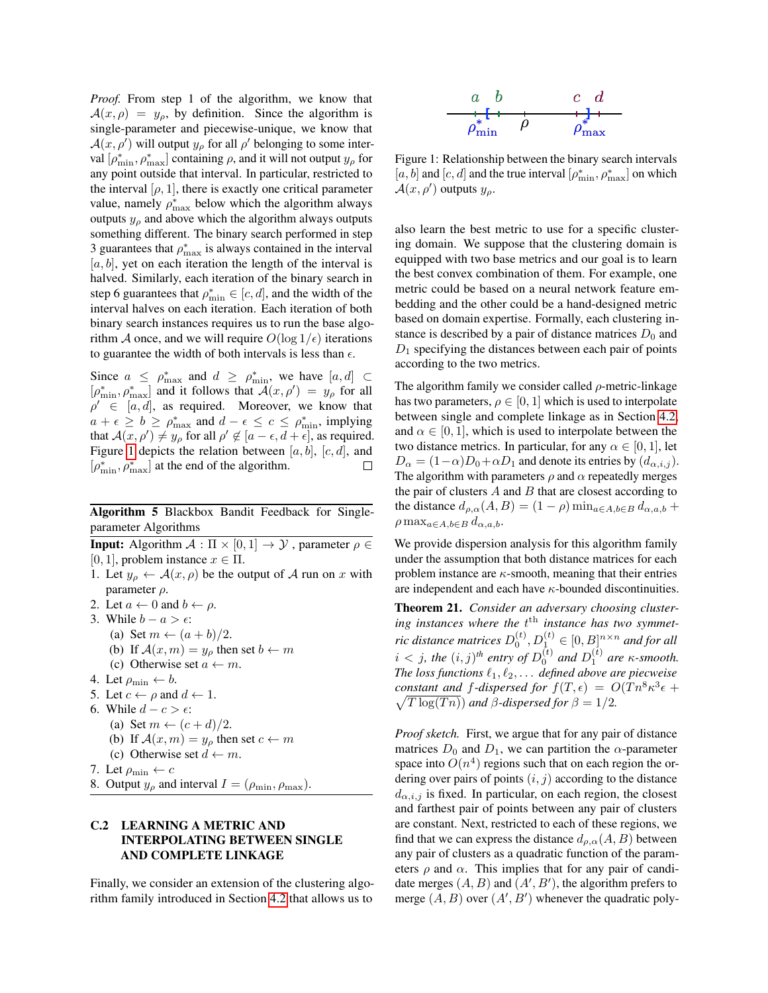*Proof.* From step 1 of the algorithm, we know that  $A(x, \rho) = y_{\rho}$ , by definition. Since the algorithm is single-parameter and piecewise-unique, we know that  $\mathcal{A}(x, \rho')$  will output  $y_\rho$  for all  $\rho'$  belonging to some interval  $[\rho^*_{\min}, \rho^*_{\max}]$  containing  $\rho$ , and it will not output  $y_\rho$  for any point outside that interval. In particular, restricted to the interval  $[\rho, 1]$ , there is exactly one critical parameter value, namely  $\rho_{\text{max}}^*$  below which the algorithm always outputs  $y_\rho$  and above which the algorithm always outputs something different. The binary search performed in step 3 guarantees that  $\rho_{\text{max}}^*$  is always contained in the interval  $[a, b]$ , yet on each iteration the length of the interval is halved. Similarly, each iteration of the binary search in step 6 guarantees that  $\rho_{\min}^* \in [c, d]$ , and the width of the interval halves on each iteration. Each iteration of both binary search instances requires us to run the base algorithm A once, and we will require  $O(\log 1/\epsilon)$  iterations to guarantee the width of both intervals is less than  $\epsilon$ .

Since  $a \leq \rho_{\max}^*$  and  $d \geq \rho_{\min}^*$ , we have  $[a, d] \subset$  $[\rho^*_{\min}, \rho^*_{\max}]$  and it follows that  $\mathcal{A}(x, \rho') = y_\rho$  for all  $\rho' \in [a, d]$ , as required. Moreover, we know that  $a + \epsilon \ge b \ge \rho_{\max}^*$  and  $d - \epsilon \le c \le \rho_{\min}^*$ , implying that  $\mathcal{A}(x, \rho') \neq y_\rho$  for all  $\rho' \notin [a - \epsilon, d + \epsilon]$ , as required. Figure [1](#page-20-2) depicts the relation between [a, b], [c, d], and  $[\rho^*_{\min}, \rho^*_{\max}]$  at the end of the algorithm. П

Algorithm 5 Blackbox Bandit Feedback for Singleparameter Algorithms

**Input:** Algorithm  $A : \Pi \times [0, 1] \rightarrow \mathcal{Y}$ , parameter  $\rho \in$ [0, 1], problem instance  $x \in \Pi$ .

- 1. Let  $y_{\rho} \leftarrow \mathcal{A}(x, \rho)$  be the output of A run on x with parameter  $\rho$ .
- 2. Let  $a \leftarrow 0$  and  $b \leftarrow \rho$ .
- 3. While  $b a > \epsilon$ :
	- (a) Set  $m \leftarrow (a+b)/2$ .
		- (b) If  $\mathcal{A}(x, m) = y_0$  then set  $b \leftarrow m$
- (c) Otherwise set  $a \leftarrow m$ .
- 4. Let  $\rho_{\min} \leftarrow b$ .
- 5. Let  $c \leftarrow \rho$  and  $d \leftarrow 1$ .
- 6. While  $d c > \epsilon$ :
	- (a) Set  $m \leftarrow (c+d)/2$ .
	- (b) If  $\mathcal{A}(x, m) = y_\rho$  then set  $c \leftarrow m$
	- (c) Otherwise set  $d \leftarrow m$ .
- 7. Let  $\rho_{\min} \leftarrow c$
- <span id="page-20-1"></span>8. Output  $y_\rho$  and interval  $I = (\rho_{\min}, \rho_{\max})$ .

## <span id="page-20-0"></span>C.2 LEARNING A METRIC AND INTERPOLATING BETWEEN SINGLE AND COMPLETE LINKAGE

Finally, we consider an extension of the clustering algorithm family introduced in Section [4.2](#page-7-2) that allows us to

<span id="page-20-2"></span>

Figure 1: Relationship between the binary search intervals  $[a, b]$  and  $[c, d]$  and the true interval  $\left[\rho_{\min}^*, \rho_{\max}^*\right]$  on which  $\mathcal{A}(x,\rho')$  outputs  $y_{\rho}$ .

also learn the best metric to use for a specific clustering domain. We suppose that the clustering domain is equipped with two base metrics and our goal is to learn the best convex combination of them. For example, one metric could be based on a neural network feature embedding and the other could be a hand-designed metric based on domain expertise. Formally, each clustering instance is described by a pair of distance matrices  $D_0$  and  $D_1$  specifying the distances between each pair of points according to the two metrics.

The algorithm family we consider called  $\rho$ -metric-linkage has two parameters,  $\rho \in [0, 1]$  which is used to interpolate between single and complete linkage as in Section [4.2,](#page-7-2) and  $\alpha \in [0, 1]$ , which is used to interpolate between the two distance metrics. In particular, for any  $\alpha \in [0, 1]$ , let  $D_{\alpha} = (1 - \alpha)D_0 + \alpha D_1$  and denote its entries by  $(d_{\alpha,i,j})$ . The algorithm with parameters  $\rho$  and  $\alpha$  repeatedly merges the pair of clusters  $A$  and  $B$  that are closest according to the distance  $d_{\rho,\alpha}(A, B) = (1 - \rho) \min_{a \in A, b \in B} d_{\alpha, a, b} +$  $\rho \max_{a \in A, b \in B} d_{\alpha, a, b}.$ 

We provide dispersion analysis for this algorithm family under the assumption that both distance matrices for each problem instance are  $\kappa$ -smooth, meaning that their entries are independent and each have  $\kappa$ -bounded discontinuities.

Theorem 21. *Consider an adversary choosing cluster*ing instances where the  $t^{\text{th}}$  instance has two symmetric distance matrices  $D_0^{(t)}, D_1^{(t)} \in [0,B]^{n \times n}$  and for all  $i < j$ , the  $(i, j)$ <sup>th</sup> entry of  $D_0^{(t)}$  and  $D_1^{(t)}$  are  $\kappa$ -smooth. *The loss functions*  $\ell_1, \ell_2, \ldots$  *defined above are piecweise constant and f-dispersed for*  $f(T, \epsilon) = O(Tn^8 \kappa^3 \epsilon + \sqrt{T \log(Tn)} )$  *and*  $\beta$ *-dispersed for*  $\beta = 1/2$ .  $\sqrt{T \log(Tn)}$  *and*  $\beta$ -dispersed for  $\beta = 1/2$ .

*Proof sketch.* First, we argue that for any pair of distance matrices  $D_0$  and  $D_1$ , we can partition the  $\alpha$ -parameter space into  $O(n^4)$  regions such that on each region the ordering over pairs of points  $(i, j)$  according to the distance  $d_{\alpha,i,j}$  is fixed. In particular, on each region, the closest and farthest pair of points between any pair of clusters are constant. Next, restricted to each of these regions, we find that we can express the distance  $d_{\rho,\alpha}(A, B)$  between any pair of clusters as a quadratic function of the parameters  $\rho$  and  $\alpha$ . This implies that for any pair of candidate merges  $(A, B)$  and  $(A', B')$ , the algorithm prefers to merge  $(A, B)$  over  $(A', B')$  whenever the quadratic poly-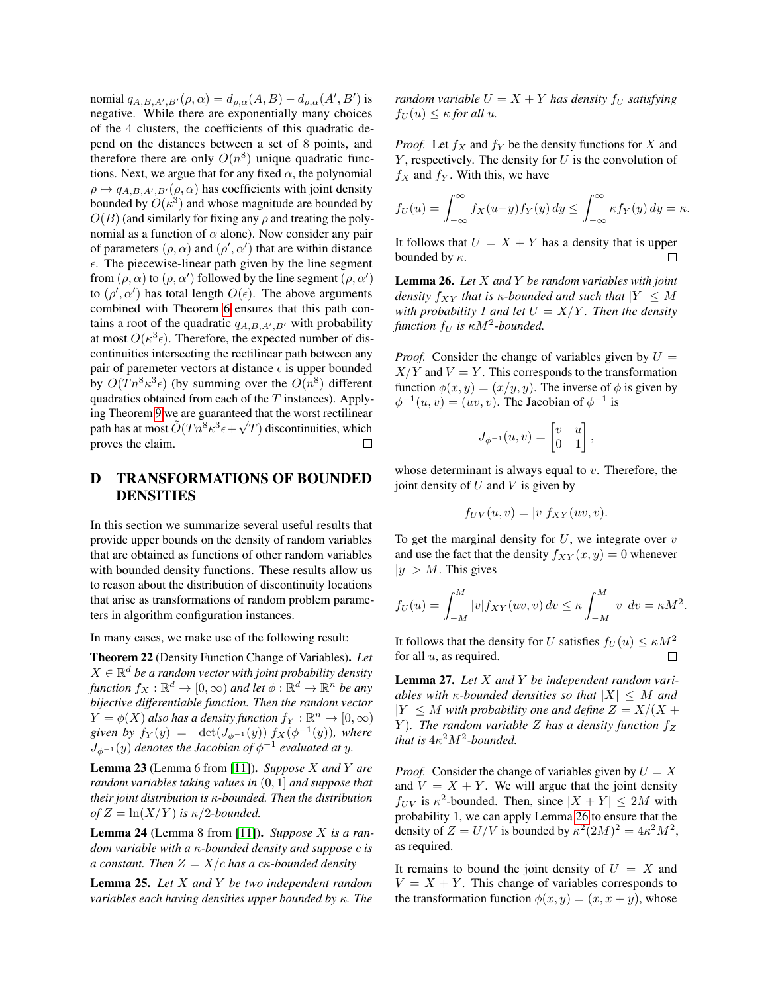nomial  $q_{A,B,A',B'}(\rho,\alpha) = d_{\rho,\alpha}(A,B) - d_{\rho,\alpha}(A',B')$  is negative. While there are exponentially many choices of the 4 clusters, the coefficients of this quadratic depend on the distances between a set of 8 points, and therefore there are only  $O(n^8)$  unique quadratic functions. Next, we argue that for any fixed  $\alpha$ , the polynomial  $\rho \mapsto q_{A,B,A',B'}(\rho, \alpha)$  has coefficients with joint density bounded by  $O(\kappa^3)$  and whose magnitude are bounded by  $O(B)$  (and similarly for fixing any  $\rho$  and treating the polynomial as a function of  $\alpha$  alone). Now consider any pair of parameters  $(\rho, \alpha)$  and  $(\rho', \alpha')$  that are within distance  $\epsilon$ . The piecewise-linear path given by the line segment from  $(\rho, \alpha)$  to  $(\rho, \alpha')$  followed by the line segment  $(\rho, \alpha')$ to  $(\rho', \alpha')$  has total length  $O(\epsilon)$ . The above arguments combined with Theorem [6](#page-5-1) ensures that this path contains a root of the quadratic  $q_{A,B,A',B'}$  with probability at most  $O(\kappa^3 \epsilon)$ . Therefore, the expected number of discontinuities intersecting the rectilinear path between any pair of paremeter vectors at distance  $\epsilon$  is upper bounded by  $O(Tn^8\kappa^3\epsilon)$  (by summing over the  $O(n^8)$  different quadratics obtained from each of the  $T$  instances). Apply-ing Theorem [9](#page-5-4) we are guaranteed that the worst rectilinear path has at most  $\tilde{O}(Tn^8\kappa^3\epsilon+\sqrt{T})$  discontinuities, which proves the claim. П

## D TRANSFORMATIONS OF BOUNDED DENSITIES

In this section we summarize several useful results that provide upper bounds on the density of random variables that are obtained as functions of other random variables with bounded density functions. These results allow us to reason about the distribution of discontinuity locations that arise as transformations of random problem parameters in algorithm configuration instances.

In many cases, we make use of the following result:

Theorem 22 (Density Function Change of Variables). *Let*  $X \in \mathbb{R}^d$  be a random vector with joint probability density *function*  $f_X : \mathbb{R}^d \to [0, \infty)$  *and let*  $\phi : \mathbb{R}^d \to \mathbb{R}^n$  *be any bijective differentiable function. Then the random vector*  $Y = \phi(X)$  also has a density function  $f_Y : \mathbb{R}^n \to [0, \infty)$ given by  $f_Y(y) = |\det(J_{\phi^{-1}}(y))| f_X(\phi^{-1}(y))$ , where  $J_{\phi^{-1}}(y)$  denotes the Jacobian of  $\phi^{-1}$  evaluated at y.

Lemma 23 (Lemma 6 from [\[11\]](#page-9-4)). *Suppose* X *and* Y *are random variables taking values in* (0, 1] *and suppose that their joint distribution is* κ*-bounded. Then the distribution of*  $Z = \ln(X/Y)$  *is*  $\kappa/2$ *-bounded.* 

Lemma 24 (Lemma 8 from [\[11\]](#page-9-4)). *Suppose* X *is a random variable with a* κ*-bounded density and suppose* c *is a constant. Then* Z = X/c *has a* cκ*-bounded density*

<span id="page-21-0"></span>Lemma 25. *Let* X *and* Y *be two independent random variables each having densities upper bounded by* κ*. The* *random variable*  $U = X + Y$  *has density*  $f_U$  *satisfying*  $f_U(u) \leq \kappa$  *for all u.* 

*Proof.* Let  $f_X$  and  $f_Y$  be the density functions for X and  $Y$ , respectively. The density for  $U$  is the convolution of  $f_X$  and  $f_Y$ . With this, we have

$$
f_U(u) = \int_{-\infty}^{\infty} f_X(u-y) f_Y(y) dy \le \int_{-\infty}^{\infty} \kappa f_Y(y) dy = \kappa.
$$

It follows that  $U = X + Y$  has a density that is upper bounded by  $\kappa$ . П

<span id="page-21-2"></span>Lemma 26. *Let* X *and* Y *be random variables with joint density*  $f_{XY}$  *that is*  $\kappa$ *-bounded and such that*  $|Y| \leq M$ *with probability 1 and let*  $U = X/Y$ *. Then the density*  $function f_U$  is  $\kappa M^2$ -bounded.

*Proof.* Consider the change of variables given by  $U =$  $X/Y$  and  $V = Y$ . This corresponds to the transformation function  $\phi(x, y) = (x/y, y)$ . The inverse of  $\phi$  is given by  $\phi^{-1}(u, v) = (uv, v)$ . The Jacobian of  $\phi^{-1}$  is

$$
J_{\phi^{-1}}(u,v) = \begin{bmatrix} v & u \\ 0 & 1 \end{bmatrix},
$$

whose determinant is always equal to  $v$ . Therefore, the joint density of  $U$  and  $V$  is given by

$$
f_{UV}(u,v) = |v| f_{XY}(uv,v).
$$

To get the marginal density for  $U$ , we integrate over  $v$ and use the fact that the density  $f_{XY}(x, y) = 0$  whenever  $|y| > M$ . This gives

$$
f_U(u) = \int_{-M}^{M} |v| f_{XY}(uv, v) dv \le \kappa \int_{-M}^{M} |v| dv = \kappa M^2.
$$

It follows that the density for U satisfies  $f_U(u) \leq \kappa M^2$ for all  $u$ , as required.  $\Box$ 

<span id="page-21-1"></span>Lemma 27. *Let* X *and* Y *be independent random variables with*  $\kappa$ *-bounded densities so that*  $|X| \leq M$  *and*  $|Y| \leq M$  with probability one and define  $Z = X/(X +$ Y). The random variable Z has a density function  $f_Z$ *that is*  $4\kappa^2 M^2$ -bounded.

*Proof.* Consider the change of variables given by  $U = X$ and  $V = X + Y$ . We will argue that the joint density  $f_{UV}$  is  $\kappa^2$ -bounded. Then, since  $|X + Y| \le 2M$  with probability 1, we can apply Lemma [26](#page-21-2) to ensure that the density of  $Z = U/V$  is bounded by  $\kappa^2 (2M)^2 = 4\kappa^2 M^2$ , as required.

It remains to bound the joint density of  $U = X$  and  $V = X + Y$ . This change of variables corresponds to the transformation function  $\phi(x, y) = (x, x + y)$ , whose